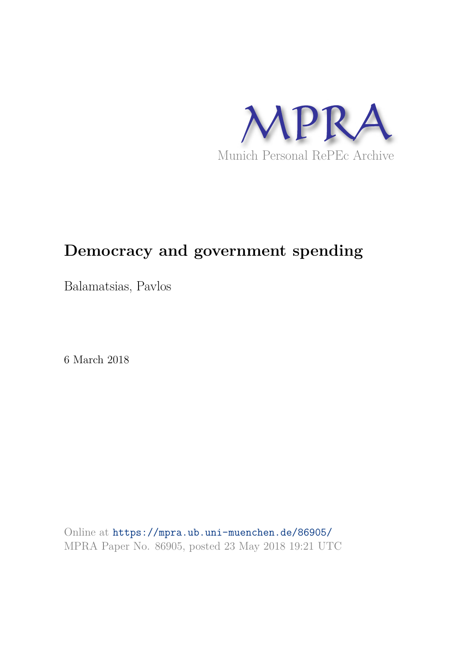

# **Democracy and government spending**

Balamatsias, Pavlos

6 March 2018

Online at https://mpra.ub.uni-muenchen.de/86905/ MPRA Paper No. 86905, posted 23 May 2018 19:21 UTC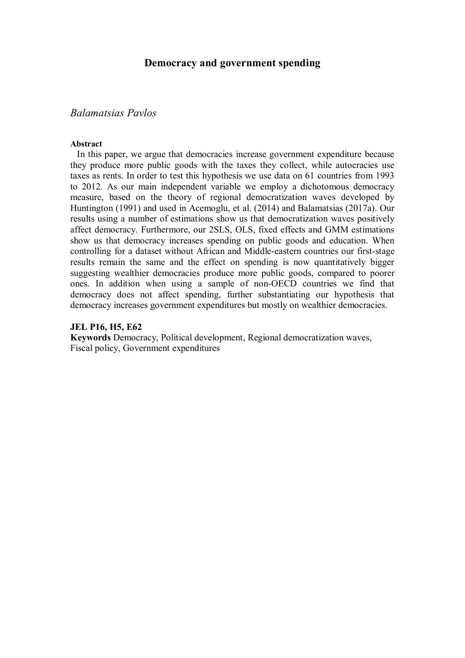## **Democracy and government spending**

## *Balamatsias Pavlos*

#### **Abstract**

 In this paper, we argue that democracies increase government expenditure because they produce more public goods with the taxes they collect, while autocracies use taxes as rents. In order to test this hypothesis we use data on 61 countries from 1993 to 2012. As our main independent variable we employ a dichotomous democracy measure, based on the theory of regional democratization waves developed by Huntington (1991) and used in Acemoglu, et al. (2014) and Balamatsias (2017a). Our results using a number of estimations show us that democratization waves positively affect democracy. Furthermore, our 2SLS, OLS, fixed effects and GMM estimations show us that democracy increases spending on public goods and education. When controlling for a dataset without African and Middle-eastern countries our first-stage results remain the same and the effect on spending is now quantitatively bigger suggesting wealthier democracies produce more public goods, compared to poorer ones. In addition when using a sample of non-OECD countries we find that democracy does not affect spending, further substantiating our hypothesis that democracy increases government expenditures but mostly on wealthier democracies.

#### **JEL P16, H5, E62**

**Keywords** Democracy, Political development, Regional democratization waves, Fiscal policy, Government expenditures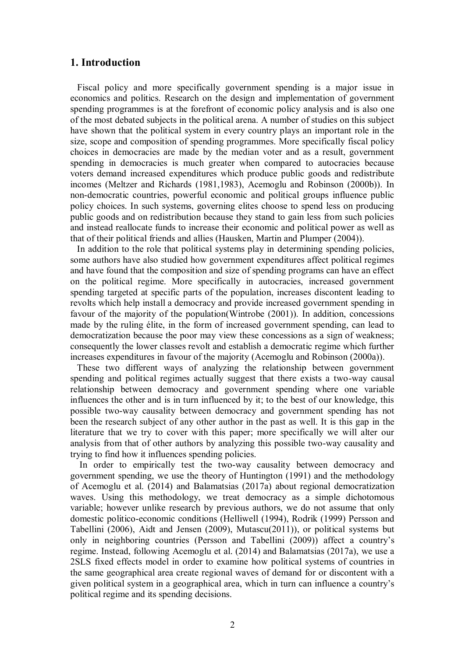#### **1. Introduction**

 Fiscal policy and more specifically government spending is a major issue in economics and politics. Research on the design and implementation of government spending programmes is at the forefront of economic policy analysis and is also one of the most debated subjects in the political arena. A number of studies on this subject have shown that the political system in every country plays an important role in the size, scope and composition of spending programmes. More specifically fiscal policy choices in democracies are made by the median voter and as a result, government spending in democracies is much greater when compared to autocracies because voters demand increased expenditures which produce public goods and redistribute incomes (Meltzer and Richards (1981,1983), Acemoglu and Robinson (2000b)). In non-democratic countries, powerful economic and political groups influence public policy choices. In such systems, governing elites choose to spend less on producing public goods and on redistribution because they stand to gain less from such policies and instead reallocate funds to increase their economic and political power as well as that of their political friends and allies (Hausken, Martin and Plumper (2004)).

 In addition to the role that political systems play in determining spending policies, some authors have also studied how government expenditures affect political regimes and have found that the composition and size of spending programs can have an effect on the political regime. More specifically in autocracies, increased government spending targeted at specific parts of the population, increases discontent leading to revolts which help install a democracy and provide increased government spending in favour of the majority of the population(Wintrobe (2001)). In addition, concessions made by the ruling élite, in the form of increased government spending, can lead to democratization because the poor may view these concessions as a sign of weakness; consequently the lower classes revolt and establish a democratic regime which further increases expenditures in favour of the majority (Acemoglu and Robinson (2000a)).

 These two different ways of analyzing the relationship between government spending and political regimes actually suggest that there exists a two-way causal relationship between democracy and government spending where one variable influences the other and is in turn influenced by it; to the best of our knowledge, this possible two-way causality between democracy and government spending has not been the research subject of any other author in the past as well. It is this gap in the literature that we try to cover with this paper; more specifically we will alter our analysis from that of other authors by analyzing this possible two-way causality and trying to find how it influences spending policies.

 In order to empirically test the two-way causality between democracy and government spending, we use the theory of Huntington (1991) and the methodology of Acemoglu et al. (2014) and Balamatsias (2017a) about regional democratization waves. Using this methodology, we treat democracy as a simple dichotomous variable; however unlike research by previous authors, we do not assume that only domestic politico-economic conditions (Helliwell (1994), Rodrik (1999) Persson and Tabellini (2006), Aidt and Jensen (2009), Mutascu(2011)), or political systems but only in neighboring countries (Persson and Tabellini (2009)) affect a country's regime. Instead, following Acemoglu et al. (2014) and Balamatsias (2017a), we use a 2SLS fixed effects model in order to examine how political systems of countries in the same geographical area create regional waves of demand for or discontent with a given political system in a geographical area, which in turn can influence a country's political regime and its spending decisions.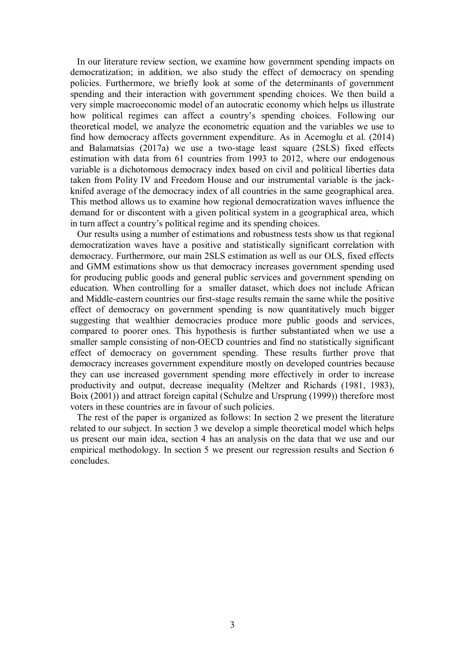In our literature review section, we examine how government spending impacts on democratization; in addition, we also study the effect of democracy on spending policies. Furthermore, we briefly look at some of the determinants of government spending and their interaction with government spending choices. We then build a very simple macroeconomic model of an autocratic economy which helps us illustrate how political regimes can affect a country's spending choices. Following our theoretical model, we analyze the econometric equation and the variables we use to find how democracy affects government expenditure. As in Acemoglu et al. (2014) and Balamatsias (2017a) we use a two-stage least square (2SLS) fixed effects estimation with data from 61 countries from 1993 to 2012, where our endogenous variable is a dichotomous democracy index based on civil and political liberties data taken from Polity IV and Freedom House and our instrumental variable is the jackknifed average of the democracy index of all countries in the same geographical area. This method allows us to examine how regional democratization waves influence the demand for or discontent with a given political system in a geographical area, which in turn affect a country's political regime and its spending choices.

 Our results using a number of estimations and robustness tests show us that regional democratization waves have a positive and statistically significant correlation with democracy. Furthermore, our main 2SLS estimation as well as our OLS, fixed effects and GMM estimations show us that democracy increases government spending used for producing public goods and general public services and government spending on education. When controlling for a smaller dataset, which does not include African and Middle-eastern countries our first-stage results remain the same while the positive effect of democracy on government spending is now quantitatively much bigger suggesting that wealthier democracies produce more public goods and services, compared to poorer ones. This hypothesis is further substantiated when we use a smaller sample consisting of non-OECD countries and find no statistically significant effect of democracy on government spending. These results further prove that democracy increases government expenditure mostly on developed countries because they can use increased government spending more effectively in order to increase productivity and output, decrease inequality (Meltzer and Richards (1981, 1983), Boix (2001)) and attract foreign capital (Schulze and Ursprung (1999)) therefore most voters in these countries are in favour of such policies.

 The rest of the paper is organized as follows: In section 2 we present the literature related to our subject. In section 3 we develop a simple theoretical model which helps us present our main idea, section 4 has an analysis on the data that we use and our empirical methodology. In section 5 we present our regression results and Section 6 concludes.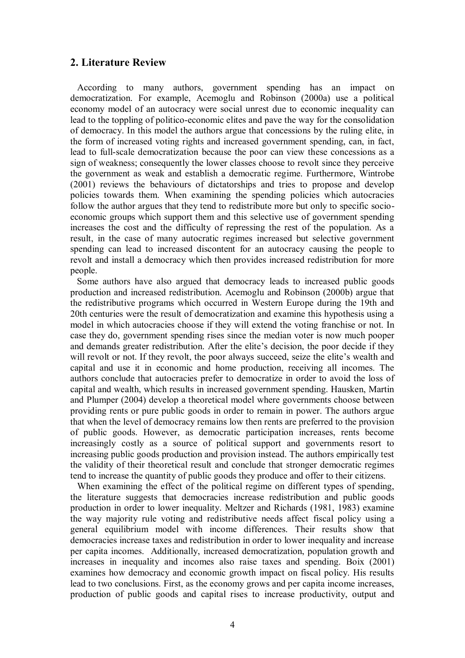## **2. Literature Review**

 According to many authors, government spending has an impact on democratization. For example, Acemoglu and Robinson (2000a) use a political economy model of an autocracy were social unrest due to economic inequality can lead to the toppling of politico-economic elites and pave the way for the consolidation of democracy. In this model the authors argue that concessions by the ruling elite, in the form of increased voting rights and increased government spending, can, in fact, lead to full-scale democratization because the poor can view these concessions as a sign of weakness; consequently the lower classes choose to revolt since they perceive the government as weak and establish a democratic regime. Furthermore, Wintrobe (2001) reviews the behaviours of dictatorships and tries to propose and develop policies towards them. When examining the spending policies which autocracies follow the author argues that they tend to redistribute more but only to specific socioeconomic groups which support them and this selective use of government spending increases the cost and the difficulty of repressing the rest of the population. As a result, in the case of many autocratic regimes increased but selective government spending can lead to increased discontent for an autocracy causing the people to revolt and install a democracy which then provides increased redistribution for more people.

 Some authors have also argued that democracy leads to increased public goods production and increased redistribution. Acemoglu and Robinson (2000b) argue that the redistributive programs which occurred in Western Europe during the 19th and 20th centuries were the result of democratization and examine this hypothesis using a model in which autocracies choose if they will extend the voting franchise or not. In case they do, government spending rises since the median voter is now much pooper and demands greater redistribution. After the elite's decision, the poor decide if they will revolt or not. If they revolt, the poor always succeed, seize the elite's wealth and capital and use it in economic and home production, receiving all incomes. The authors conclude that autocracies prefer to democratize in order to avoid the loss of capital and wealth, which results in increased government spending. Hausken, Martin and Plumper (2004) develop a theoretical model where governments choose between providing rents or pure public goods in order to remain in power. The authors argue that when the level of democracy remains low then rents are preferred to the provision of public goods. However, as democratic participation increases, rents become increasingly costly as a source of political support and governments resort to increasing public goods production and provision instead. The authors empirically test the validity of their theoretical result and conclude that stronger democratic regimes tend to increase the quantity of public goods they produce and offer to their citizens.

When examining the effect of the political regime on different types of spending, the literature suggests that democracies increase redistribution and public goods production in order to lower inequality. Meltzer and Richards (1981, 1983) examine the way majority rule voting and redistributive needs affect fiscal policy using a general equilibrium model with income differences. Their results show that democracies increase taxes and redistribution in order to lower inequality and increase per capita incomes. Additionally, increased democratization, population growth and increases in inequality and incomes also raise taxes and spending. Boix (2001) examines how democracy and economic growth impact on fiscal policy. His results lead to two conclusions. First, as the economy grows and per capita income increases, production of public goods and capital rises to increase productivity, output and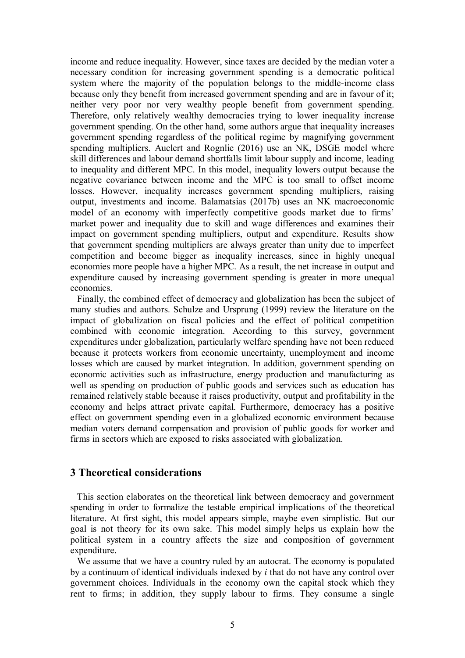income and reduce inequality. However, since taxes are decided by the median voter a necessary condition for increasing government spending is a democratic political system where the majority of the population belongs to the middle-income class because only they benefit from increased government spending and are in favour of it; neither very poor nor very wealthy people benefit from government spending. Therefore, only relatively wealthy democracies trying to lower inequality increase government spending. On the other hand, some authors argue that inequality increases government spending regardless of the political regime by magnifying government spending multipliers. Auclert and Rognlie (2016) use an NK, DSGE model where skill differences and labour demand shortfalls limit labour supply and income, leading to inequality and different MPC. In this model, inequality lowers output because the negative covariance between income and the MPC is too small to offset income losses. However, inequality increases government spending multipliers, raising output, investments and income. Balamatsias (2017b) uses an NK macroeconomic model of an economy with imperfectly competitive goods market due to firms' market power and inequality due to skill and wage differences and examines their impact on government spending multipliers, output and expenditure. Results show that government spending multipliers are always greater than unity due to imperfect competition and become bigger as inequality increases, since in highly unequal economies more people have a higher MPC. As a result, the net increase in output and expenditure caused by increasing government spending is greater in more unequal economies.

 Finally, the combined effect of democracy and globalization has been the subject of many studies and authors. Schulze and Ursprung (1999) review the literature on the impact of globalization on fiscal policies and the effect of political competition combined with economic integration. According to this survey, government expenditures under globalization, particularly welfare spending have not been reduced because it protects workers from economic uncertainty, unemployment and income losses which are caused by market integration. In addition, government spending on economic activities such as infrastructure, energy production and manufacturing as well as spending on production of public goods and services such as education has remained relatively stable because it raises productivity, output and profitability in the economy and helps attract private capital. Furthermore, democracy has a positive effect on government spending even in a globalized economic environment because median voters demand compensation and provision of public goods for worker and firms in sectors which are exposed to risks associated with globalization.

### **3 Theoretical considerations**

 This section elaborates on the theoretical link between democracy and government spending in order to formalize the testable empirical implications of the theoretical literature. At first sight, this model appears simple, maybe even simplistic. But our goal is not theory for its own sake. This model simply helps us explain how the political system in a country affects the size and composition of government expenditure.

 We assume that we have a country ruled by an autocrat. The economy is populated by a continuum of identical individuals indexed by *i* that do not have any control over government choices. Individuals in the economy own the capital stock which they rent to firms; in addition, they supply labour to firms. They consume a single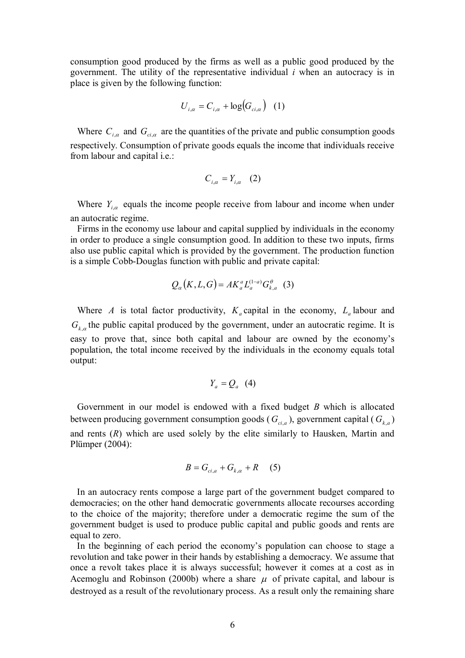consumption good produced by the firms as well as a public good produced by the government. The utility of the representative individual *i* when an autocracy is in place is given by the following function:

$$
U_{i,\alpha} = C_{i,\alpha} + \log(G_{ci,\alpha}) \quad (1)
$$

Where  $C_{i,\alpha}$  and  $G_{ci,\alpha}$  are the quantities of the private and public consumption goods respectively. Consumption of private goods equals the income that individuals receive from labour and capital i.e.:

$$
C_{i,\alpha} = Y_{i,\alpha} \quad (2)
$$

Where  $Y_{i,\alpha}$  equals the income people receive from labour and income when under an autocratic regime.

 Firms in the economy use labour and capital supplied by individuals in the economy in order to produce a single consumption good. In addition to these two inputs, firms also use public capital which is provided by the government. The production function is a simple Cobb-Douglas function with public and private capital:

$$
Q_{\alpha}(K, L, G) = AK_a^a L_a^{(1-a)} G_{k, a}^{\theta} \quad (3)
$$

Where *A* is total factor productivity,  $K_a$  capital in the economy,  $L_a$  labour and  $G_{k,\alpha}$  the public capital produced by the government, under an autocratic regime. It is easy to prove that, since both capital and labour are owned by the economy's population, the total income received by the individuals in the economy equals total output:

$$
Y_a = Q_a \quad (4)
$$

 Government in our model is endowed with a fixed budget *B* which is allocated between producing government consumption goods ( $G_{ci,a}$ ), government capital ( $G_{k,a}$ ) and rents (*R*) which are used solely by the elite similarly to Hausken, Martin and Plümper (2004):

$$
B = G_{ci,a} + G_{k,\alpha} + R \quad (5)
$$

 In an autocracy rents compose a large part of the government budget compared to democracies; on the other hand democratic governments allocate recourses according to the choice of the majority; therefore under a democratic regime the sum of the government budget is used to produce public capital and public goods and rents are equal to zero.

 In the beginning of each period the economy's population can choose to stage a revolution and take power in their hands by establishing a democracy. We assume that once a revolt takes place it is always successful; however it comes at a cost as in Acemoglu and Robinson (2000b) where a share  $\mu$  of private capital, and labour is destroyed as a result of the revolutionary process. As a result only the remaining share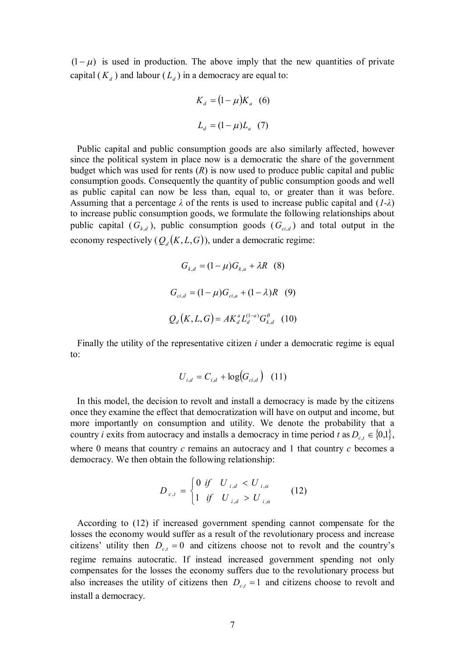$(1 - \mu)$  is used in production. The above imply that the new quantities of private capital  $(K_d)$  and labour  $(L_d)$  in a democracy are equal to:

$$
K_a = (1 - \mu)K_a
$$
 (6)  

$$
L_a = (1 - \mu)L_a
$$
 (7)

 Public capital and public consumption goods are also similarly affected, however since the political system in place now is a democratic the share of the government budget which was used for rents  $(R)$  is now used to produce public capital and public consumption goods. Consequently the quantity of public consumption goods and well as public capital can now be less than, equal to, or greater than it was before. Assuming that a percentage *λ* of the rents is used to increase public capital and (*1-λ*) to increase public consumption goods, we formulate the following relationships about public capital  $(G_{k,d})$ , public consumption goods  $(G_{ci,d})$  and total output in the economy respectively  $(Q_d(K, L, G))$ , under a democratic regime:

$$
G_{k,d} = (1 - \mu)G_{k,a} + \lambda R
$$
 (8)  

$$
G_{ci,d} = (1 - \mu)G_{ci,a} + (1 - \lambda)R
$$
 (9)  

$$
Q_d(K, L, G) = AK_d^a L_d^{(1-a)} G_{k,d}^\theta
$$
 (10)

 Finally the utility of the representative citizen *i* under a democratic regime is equal to:

$$
U_{i,d} = C_{i,d} + \log(G_{ci,d}) \quad (11)
$$

 In this model, the decision to revolt and install a democracy is made by the citizens once they examine the effect that democratization will have on output and income, but more importantly on consumption and utility. We denote the probability that a country *i* exits from autocracy and installs a democracy in time period *t* as  $D_{c,t} \in \{0,1\}$ , where 0 means that country *c* remains an autocracy and 1 that country *c* becomes a democracy. We then obtain the following relationship:

$$
D_{c,t} = \begin{cases} 0 \text{ if} & U_{i,d} < U_{i,\alpha} \\ 1 \text{ if} & U_{i,d} > U_{i,\alpha} \end{cases} \tag{12}
$$

 According to (12) if increased government spending cannot compensate for the losses the economy would suffer as a result of the revolutionary process and increase citizens' utility then  $D_{ct} = 0$  and citizens choose not to revolt and the country's regime remains autocratic. If instead increased government spending not only compensates for the losses the economy suffers due to the revolutionary process but also increases the utility of citizens then  $D_{c,t} = 1$  and citizens choose to revolt and install a democracy.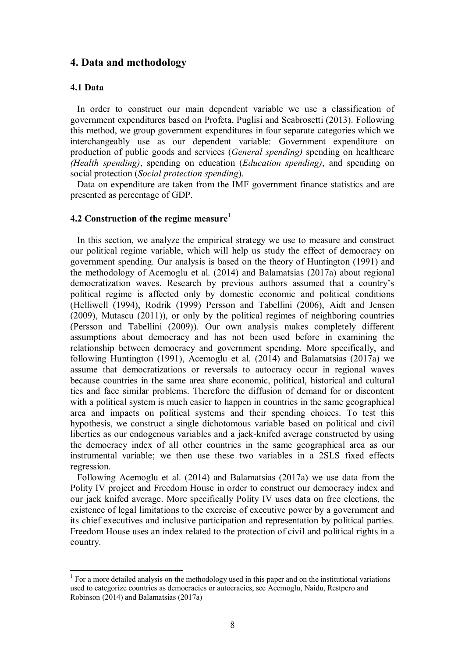## **4. Data and methodology**

#### **4.1 Data**

-

 In order to construct our main dependent variable we use a classification of government expenditures based on Profeta, Puglisi and Scabrosetti (2013). Following this method, we group government expenditures in four separate categories which we interchangeably use as our dependent variable: Government expenditure on production of public goods and services (*General spending)* spending on healthcare *(Health spending)*, spending on education (*Education spending)*, and spending on social protection (*Social protection spending*).

 Data on expenditure are taken from the IMF government finance statistics and are presented as percentage of GDP.

### **4.2 Construction of the regime measure**<sup>1</sup>

 In this section, we analyze the empirical strategy we use to measure and construct our political regime variable, which will help us study the effect of democracy on government spending. Our analysis is based on the theory of Huntington (1991) and the methodology of Acemoglu et al. (2014) and Balamatsias (2017a) about regional democratization waves. Research by previous authors assumed that a country's political regime is affected only by domestic economic and political conditions (Helliwell (1994), Rodrik (1999) Persson and Tabellini (2006), Aidt and Jensen (2009), Mutascu (2011)), or only by the political regimes of neighboring countries (Persson and Tabellini (2009)). Our own analysis makes completely different assumptions about democracy and has not been used before in examining the relationship between democracy and government spending. More specifically, and following Huntington (1991), Acemoglu et al. (2014) and Balamatsias (2017a) we assume that democratizations or reversals to autocracy occur in regional waves because countries in the same area share economic, political, historical and cultural ties and face similar problems. Therefore the diffusion of demand for or discontent with a political system is much easier to happen in countries in the same geographical area and impacts on political systems and their spending choices. To test this hypothesis, we construct a single dichotomous variable based on political and civil liberties as our endogenous variables and a jack-knifed average constructed by using the democracy index of all other countries in the same geographical area as our instrumental variable; we then use these two variables in a 2SLS fixed effects regression.

 Following Acemoglu et al. (2014) and Balamatsias (2017a) we use data from the Polity IV project and Freedom House in order to construct our democracy index and our jack knifed average. More specifically Polity IV uses data on free elections, the existence of legal limitations to the exercise of executive power by a government and its chief executives and inclusive participation and representation by political parties. Freedom House uses an index related to the protection of civil and political rights in a country.

 $<sup>1</sup>$  For a more detailed analysis on the methodology used in this paper and on the institutional variations</sup> used to categorize countries as democracies or autocracies, see Acemoglu, Naidu, Restpero and Robinson (2014) and Balamatsias (2017a)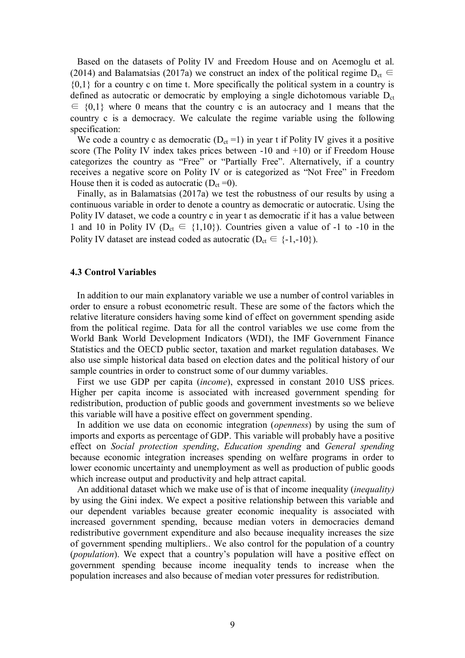Based on the datasets of Polity IV and Freedom House and on Acemoglu et al. (2014) and Balamatsias (2017a) we construct an index of the political regime  $D_{ct} \in$  ${0,1}$  for a country c on time t. More specifically the political system in a country is defined as autocratic or democratic by employing a single dichotomous variable D<sub>ct</sub>  $\epsilon \in \{0,1\}$  where 0 means that the country c is an autocracy and 1 means that the country c is a democracy. We calculate the regime variable using the following specification:

We code a country c as democratic  $(D_{ct} = 1)$  in year t if Polity IV gives it a positive score (The Polity IV index takes prices between -10 and +10) or if Freedom House categorizes the country as "Free" or "Partially Free". Alternatively, if a country receives a negative score on Polity IV or is categorized as "Not Free" in Freedom House then it is coded as autocratic  $(D_{ct} = 0)$ .

 Finally, as in Balamatsias (2017a) we test the robustness of our results by using a continuous variable in order to denote a country as democratic or autocratic. Using the Polity IV dataset, we code a country c in year t as democratic if it has a value between 1 and 10 in Polity IV ( $D_{ct} \in \{1,10\}$ ). Countries given a value of -1 to -10 in the Polity IV dataset are instead coded as autocratic ( $D_{ct} \in \{-1,-10\}$ ).

#### **4.3 Control Variables**

 In addition to our main explanatory variable we use a number of control variables in order to ensure a robust econometric result. These are some of the factors which the relative literature considers having some kind of effect on government spending aside from the political regime. Data for all the control variables we use come from the World Bank World Development Indicators (WDI), the IMF Government Finance Statistics and the OECD public sector, taxation and market regulation databases. We also use simple historical data based on election dates and the political history of our sample countries in order to construct some of our dummy variables.

 First we use GDP per capita (*income*), expressed in constant 2010 US\$ prices. Higher per capita income is associated with increased government spending for redistribution, production of public goods and government investments so we believe this variable will have a positive effect on government spending.

 In addition we use data on economic integration (*openness*) by using the sum of imports and exports as percentage of GDP. This variable will probably have a positive effect on *Social protection spending*, *Education spending* and *General spending* because economic integration increases spending on welfare programs in order to lower economic uncertainty and unemployment as well as production of public goods which increase output and productivity and help attract capital.

 An additional dataset which we make use of is that of income inequality (*inequality)*  by using the Gini index. We expect a positive relationship between this variable and our dependent variables because greater economic inequality is associated with increased government spending, because median voters in democracies demand redistributive government expenditure and also because inequality increases the size of government spending multipliers.. We also control for the population of a country (*population*). We expect that a country's population will have a positive effect on government spending because income inequality tends to increase when the population increases and also because of median voter pressures for redistribution.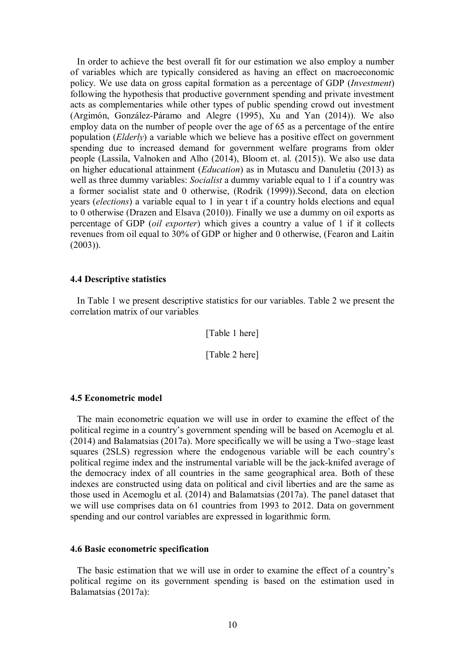In order to achieve the best overall fit for our estimation we also employ a number of variables which are typically considered as having an effect on macroeconomic policy. We use data on gross capital formation as a percentage of GDP (*Investment*) following the hypothesis that productive government spending and private investment acts as complementaries while other types of public spending crowd out investment (Argimón, González-Páramo and Alegre (1995), Xu and Yan (2014)). We also employ data on the number of people over the age of 65 as a percentage of the entire population (*Elderly*) a variable which we believe has a positive effect on government spending due to increased demand for government welfare programs from older people (Lassila, Valnoken and Alho (2014), Bloom et. al. (2015)). We also use data on higher educational attainment (*Education*) as in Mutascu and Danuletiu (2013) as well as three dummy variables: *Socialist* a dummy variable equal to 1 if a country was a former socialist state and 0 otherwise, (Rodrik (1999)).Second, data on election years (*elections*) a variable equal to 1 in year t if a country holds elections and equal to 0 otherwise (Drazen and Elsava (2010)). Finally we use a dummy on oil exports as percentage of GDP (*oil exporter*) which gives a country a value of 1 if it collects revenues from oil equal to 30% of GDP or higher and 0 otherwise, (Fearon and Laitin  $(2003)$ ).

#### **4.4 Descriptive statistics**

 In Table 1 we present descriptive statistics for our variables. Table 2 we present the correlation matrix of our variables

[Table 1 here]

[Table 2 here]

#### **4.5 Econometric model**

 The main econometric equation we will use in order to examine the effect of the political regime in a country's government spending will be based on Acemoglu et al. (2014) and Balamatsias (2017a). More specifically we will be using a Two–stage least squares (2SLS) regression where the endogenous variable will be each country's political regime index and the instrumental variable will be the jack-knifed average of the democracy index of all countries in the same geographical area. Both of these indexes are constructed using data on political and civil liberties and are the same as those used in Acemoglu et al. (2014) and Balamatsias (2017a). The panel dataset that we will use comprises data on 61 countries from 1993 to 2012. Data on government spending and our control variables are expressed in logarithmic form.

#### **4.6 Basic econometric specification**

 The basic estimation that we will use in order to examine the effect of a country's political regime on its government spending is based on the estimation used in Balamatsias (2017a):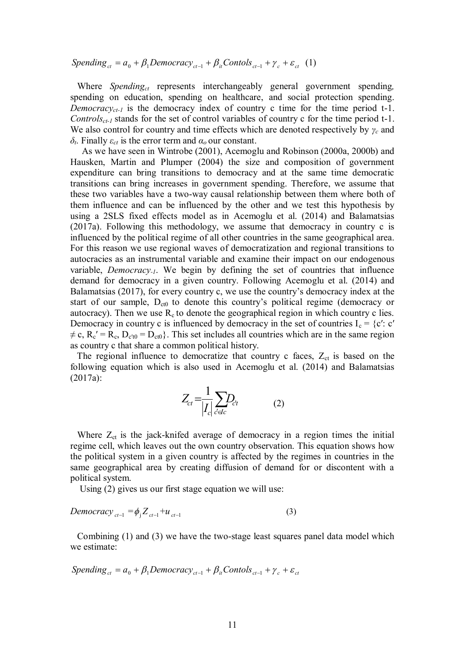$Spending_{ct} = a_0 + \beta_1 Democracy_{ct-1} + \beta_i Contols_{ct-1} + \gamma_c + \varepsilon_{ct}$  (1)

 Where *Spendingct* represents interchangeably general government spending*,*  spending on education, spending on healthcare, and social protection spending. *Democracy<sub>ct-1</sub>* is the democracy index of country c time for the time period t-1. *Controlsct-1* stands for the set of control variables of country c for the time period t-1. We also control for country and time effects which are denoted respectively by *γc* and *δt*. Finally *εct* is the error term and *α<sup>ο</sup>* our constant.

 As we have seen in Wintrobe (2001), Acemoglu and Robinson (2000a, 2000b) and Hausken, Martin and Plumper (2004) the size and composition of government expenditure can bring transitions to democracy and at the same time democratic transitions can bring increases in government spending. Therefore, we assume that these two variables have a two-way causal relationship between them where both of them influence and can be influenced by the other and we test this hypothesis by using a 2SLS fixed effects model as in Acemoglu et al. (2014) and Balamatsias (2017a). Following this methodology, we assume that democracy in country c is influenced by the political regime of all other countries in the same geographical area. For this reason we use regional waves of democratization and regional transitions to autocracies as an instrumental variable and examine their impact on our endogenous variable, *Democracy-1*. We begin by defining the set of countries that influence demand for democracy in a given country. Following Acemoglu et al. (2014) and Balamatsias (2017), for every country c, we use the country's democracy index at the start of our sample,  $D_{ct0}$  to denote this country's political regime (democracy or autocracy). Then we use  $R_c$  to denote the geographical region in which country c lies. Democracy in country c is influenced by democracy in the set of countries  $I_c = \{c' : c' \}$  $\neq$  c, R<sub>c</sub>' = R<sub>c</sub>, D<sub>c't0</sub> = D<sub>ct0</sub>}. This set includes all countries which are in the same region as country c that share a common political history.

The regional influence to democratize that country c faces,  $Z_{ct}$  is based on the following equation which is also used in Acemoglu et al. (2014) and Balamatsias (2017a):

$$
Z_{ct} = \frac{1}{|I_c|} \sum_{c' \in I_c} D_{ct} \tag{2}
$$

Where  $Z_{ct}$  is the jack-knifed average of democracy in a region times the initial regime cell, which leaves out the own country observation. This equation shows how the political system in a given country is affected by the regimes in countries in the same geographical area by creating diffusion of demand for or discontent with a political system.

Using (2) gives us our first stage equation we will use:

$$
Democracy_{ct-1} = \phi_j Z_{ct-1} + u_{ct-1}
$$
\n(3)

 Combining (1) and (3) we have the two-stage least squares panel data model which we estimate:

$$
Spending_{ct} = a_0 + \beta_1 Democracy_{ct-1} + \beta_i Contols_{ct-1} + \gamma_c + \varepsilon_{ct}
$$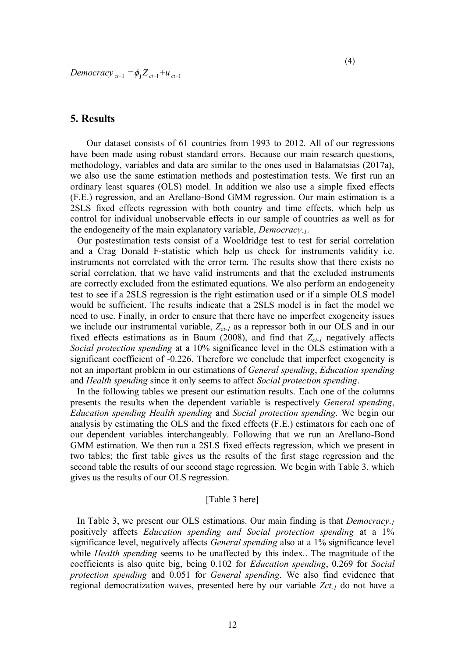*Democracy*  $_{ct-1} = \phi_{j} Z_{ct-1} + u_{ct-1}$ 

#### **5. Results**

 Our dataset consists of 61 countries from 1993 to 2012. All of our regressions have been made using robust standard errors. Because our main research questions, methodology, variables and data are similar to the ones used in Balamatsias (2017a), we also use the same estimation methods and postestimation tests. We first run an ordinary least squares (OLS) model. In addition we also use a simple fixed effects (F.E.) regression, and an Arellano-Bond GMM regression. Our main estimation is a 2SLS fixed effects regression with both country and time effects, which help us control for individual unobservable effects in our sample of countries as well as for the endogeneity of the main explanatory variable, *Democracy-1*.

 Our postestimation tests consist of a Wooldridge test to test for serial correlation and a Crag Donald F-statistic which help us check for instruments validity i.e. instruments not correlated with the error term. The results show that there exists no serial correlation, that we have valid instruments and that the excluded instruments are correctly excluded from the estimated equations. We also perform an endogeneity test to see if a 2SLS regression is the right estimation used or if a simple OLS model would be sufficient. The results indicate that a 2SLS model is in fact the model we need to use. Finally, in order to ensure that there have no imperfect exogeneity issues we include our instrumental variable, *Zct-1* as a repressor both in our OLS and in our fixed effects estimations as in Baum (2008), and find that  $Z_{c,t}$  negatively affects *Social protection spending* at a 10% significance level in the OLS estimation with a significant coefficient of -0.226. Therefore we conclude that imperfect exogeneity is not an important problem in our estimations of *General spending*, *Education spending* and *Health spending* since it only seems to affect *Social protection spending*.

 In the following tables we present our estimation results. Each one of the columns presents the results when the dependent variable is respectively *General spending*, *Education spending Health spending* and *Social protection spending*. We begin our analysis by estimating the OLS and the fixed effects (F.E.) estimators for each one of our dependent variables interchangeably. Following that we run an Arellano-Bond GMM estimation. We then run a 2SLS fixed effects regression, which we present in two tables; the first table gives us the results of the first stage regression and the second table the results of our second stage regression. We begin with Table 3, which gives us the results of our OLS regression.

#### [Table 3 here]

 In Table 3, we present our OLS estimations. Our main finding is that *Democracy-1* positively affects *Education spending and Social protection spending* at a 1% significance level, negatively affects *General spending* also at a 1% significance level while *Health spending* seems to be unaffected by this index.. The magnitude of the coefficients is also quite big, being 0.102 for *Education spending*, 0.269 for *Social protection spending* and 0.051 for *General spending*. We also find evidence that regional democratization waves, presented here by our variable *Zct-1* do not have a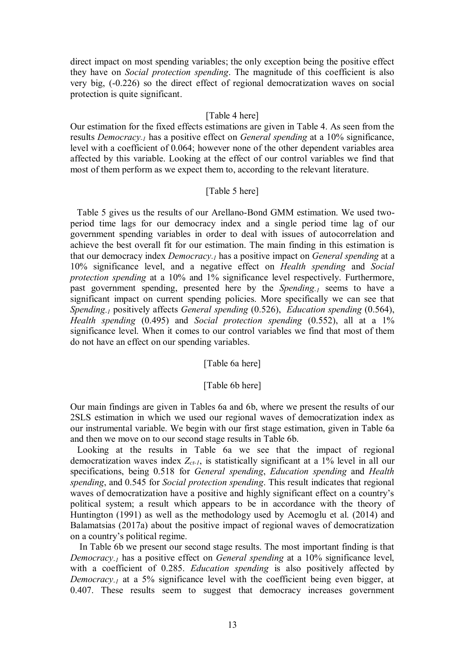direct impact on most spending variables; the only exception being the positive effect they have on *Social protection spending*. The magnitude of this coefficient is also very big, (-0.226) so the direct effect of regional democratization waves on social protection is quite significant.

#### [Table 4 here]

Our estimation for the fixed effects estimations are given in Table 4. As seen from the results *Democracy-1* has a positive effect on *General spending* at a 10% significance, level with a coefficient of 0.064; however none of the other dependent variables area affected by this variable. Looking at the effect of our control variables we find that most of them perform as we expect them to, according to the relevant literature.

#### [Table 5 here]

 Table 5 gives us the results of our Arellano-Bond GMM estimation. We used twoperiod time lags for our democracy index and a single period time lag of our government spending variables in order to deal with issues of autocorrelation and achieve the best overall fit for our estimation. The main finding in this estimation is that our democracy index *Democracy-1* has a positive impact on *General spending* at a 10% significance level, and a negative effect on *Health spending* and *Social protection spending* at a 10% and 1% significance level respectively. Furthermore, past government spending, presented here by the *Spending-1* seems to have a significant impact on current spending policies. More specifically we can see that *Spending-1* positively affects *General spending* (0.526), *Education spending* (0.564), *Health spending* (0.495) and *Social protection spending* (0.552), all at a 1% significance level. When it comes to our control variables we find that most of them do not have an effect on our spending variables.

[Table 6a here]

#### [Table 6b here]

Our main findings are given in Tables 6a and 6b, where we present the results of our 2SLS estimation in which we used our regional waves of democratization index as our instrumental variable. We begin with our first stage estimation, given in Table 6a and then we move on to our second stage results in Table 6b.

 Looking at the results in Table 6a we see that the impact of regional democratization waves index *Zct-1*, is statistically significant at a 1% level in all our specifications, being 0.518 for *General spending*, *Education spending* and *Health spending*, and 0.545 for *Social protection spending*. This result indicates that regional waves of democratization have a positive and highly significant effect on a country's political system; a result which appears to be in accordance with the theory of Huntington (1991) as well as the methodology used by Acemoglu et al. (2014) and Balamatsias (2017a) about the positive impact of regional waves of democratization on a country's political regime.

 In Table 6b we present our second stage results. The most important finding is that *Democracy-1* has a positive effect on *General spending* at a 10% significance level, with a coefficient of 0.285. *Education spending* is also positively affected by *Democracy-1* at a 5% significance level with the coefficient being even bigger, at 0.407. These results seem to suggest that democracy increases government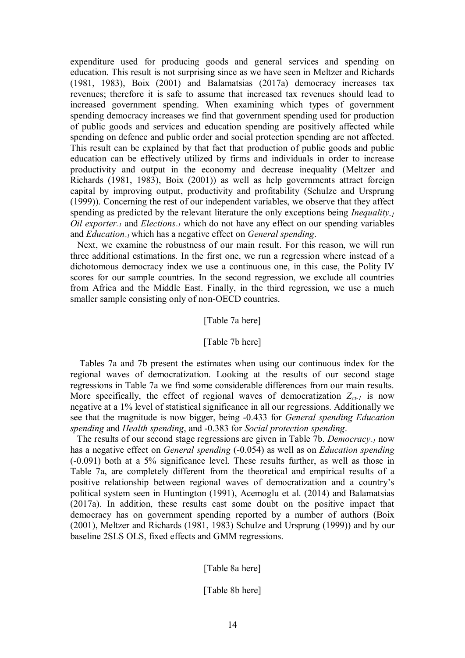expenditure used for producing goods and general services and spending on education. This result is not surprising since as we have seen in Meltzer and Richards (1981, 1983), Boix (2001) and Balamatsias (2017a) democracy increases tax revenues; therefore it is safe to assume that increased tax revenues should lead to increased government spending. When examining which types of government spending democracy increases we find that government spending used for production of public goods and services and education spending are positively affected while spending on defence and public order and social protection spending are not affected. This result can be explained by that fact that production of public goods and public education can be effectively utilized by firms and individuals in order to increase productivity and output in the economy and decrease inequality (Meltzer and Richards (1981, 1983), Boix (2001)) as well as help governments attract foreign capital by improving output, productivity and profitability (Schulze and Ursprung (1999)). Concerning the rest of our independent variables, we observe that they affect spending as predicted by the relevant literature the only exceptions being *Inequality-1 Oil exporter-1* and *Elections-1* which do not have any effect on our spending variables and *Education-1* which has a negative effect on *General spending*.

 Next, we examine the robustness of our main result. For this reason, we will run three additional estimations. In the first one, we run a regression where instead of a dichotomous democracy index we use a continuous one, in this case, the Polity IV scores for our sample countries. In the second regression, we exclude all countries from Africa and the Middle East. Finally, in the third regression, we use a much smaller sample consisting only of non-OECD countries.

#### [Table 7a here]

#### [Table 7b here]

 Tables 7a and 7b present the estimates when using our continuous index for the regional waves of democratization. Looking at the results of our second stage regressions in Table 7a we find some considerable differences from our main results. More specifically, the effect of regional waves of democratization  $Z_{ct-1}$  is now negative at a 1% level of statistical significance in all our regressions. Additionally we see that the magnitude is now bigger, being -0.433 for *General spending Education spending* and *Health spending*, and -0.383 for *Social protection spending*.

 The results of our second stage regressions are given in Table 7b. *Democracy-1* now has a negative effect on *General spending* (-0.054) as well as on *Education spending*  (-0.091) both at a 5% significance level. These results further, as well as those in Table 7a, are completely different from the theoretical and empirical results of a positive relationship between regional waves of democratization and a country's political system seen in Huntington (1991), Acemoglu et al. (2014) and Balamatsias (2017a). In addition, these results cast some doubt on the positive impact that democracy has on government spending reported by a number of authors (Boix (2001), Meltzer and Richards (1981, 1983) Schulze and Ursprung (1999)) and by our baseline 2SLS OLS, fixed effects and GMM regressions.

[Table 8a here]

[Table 8b here]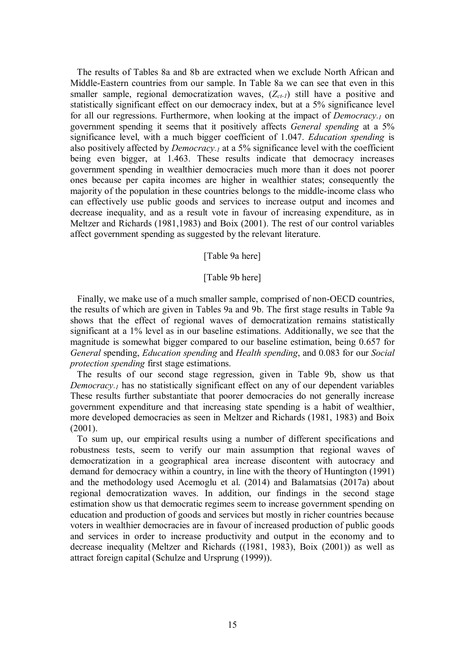The results of Tables 8a and 8b are extracted when we exclude North African and Middle-Eastern countries from our sample. In Table 8a we can see that even in this smaller sample, regional democratization waves, (*Zct-1*) still have a positive and statistically significant effect on our democracy index, but at a 5% significance level for all our regressions. Furthermore, when looking at the impact of *Democracy-1* on government spending it seems that it positively affects *General spending* at a 5% significance level, with a much bigger coefficient of 1.047. *Education spending* is also positively affected by *Democracy-1* at a 5% significance level with the coefficient being even bigger, at 1.463. These results indicate that democracy increases government spending in wealthier democracies much more than it does not poorer ones because per capita incomes are higher in wealthier states; consequently the majority of the population in these countries belongs to the middle-income class who can effectively use public goods and services to increase output and incomes and decrease inequality, and as a result vote in favour of increasing expenditure, as in Meltzer and Richards (1981,1983) and Boix (2001). The rest of our control variables affect government spending as suggested by the relevant literature.

#### [Table 9a here]

#### [Table 9b here]

 Finally, we make use of a much smaller sample, comprised of non-OECD countries, the results of which are given in Tables 9a and 9b. The first stage results in Table 9a shows that the effect of regional waves of democratization remains statistically significant at a 1% level as in our baseline estimations. Additionally, we see that the magnitude is somewhat bigger compared to our baseline estimation, being 0.657 for *General* spending, *Education spending* and *Health spending*, and 0.083 for our *Social protection spending* first stage estimations.

 The results of our second stage regression, given in Table 9b, show us that *Democracy<sub>-1</sub>* has no statistically significant effect on any of our dependent variables These results further substantiate that poorer democracies do not generally increase government expenditure and that increasing state spending is a habit of wealthier, more developed democracies as seen in Meltzer and Richards (1981, 1983) and Boix (2001).

 To sum up, our empirical results using a number of different specifications and robustness tests, seem to verify our main assumption that regional waves of democratization in a geographical area increase discontent with autocracy and demand for democracy within a country, in line with the theory of Huntington (1991) and the methodology used Acemoglu et al. (2014) and Balamatsias (2017a) about regional democratization waves. In addition, our findings in the second stage estimation show us that democratic regimes seem to increase government spending on education and production of goods and services but mostly in richer countries because voters in wealthier democracies are in favour of increased production of public goods and services in order to increase productivity and output in the economy and to decrease inequality (Meltzer and Richards ((1981, 1983), Boix (2001)) as well as attract foreign capital (Schulze and Ursprung (1999)).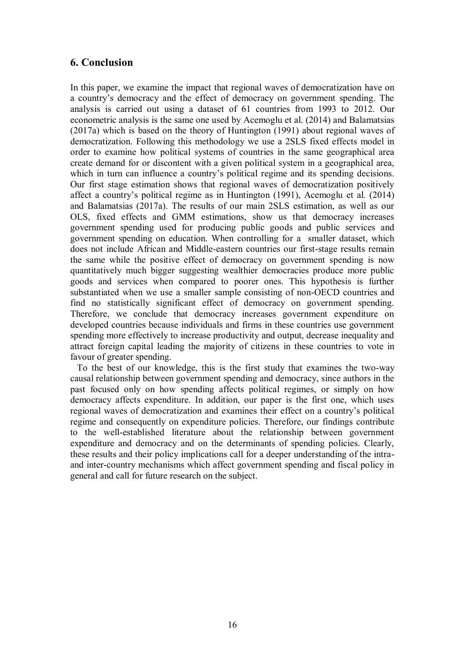## **6. Conclusion**

In this paper, we examine the impact that regional waves of democratization have on a country's democracy and the effect of democracy on government spending. The analysis is carried out using a dataset of 61 countries from 1993 to 2012. Our econometric analysis is the same one used by Acemoglu et al. (2014) and Balamatsias (2017a) which is based on the theory of Huntington (1991) about regional waves of democratization. Following this methodology we use a 2SLS fixed effects model in order to examine how political systems of countries in the same geographical area create demand for or discontent with a given political system in a geographical area, which in turn can influence a country's political regime and its spending decisions. Our first stage estimation shows that regional waves of democratization positively affect a country's political regime as in Huntington (1991), Acemoglu et al. (2014) and Balamatsias (2017a). The results of our main 2SLS estimation, as well as our OLS, fixed effects and GMM estimations, show us that democracy increases government spending used for producing public goods and public services and government spending on education. When controlling for a smaller dataset, which does not include African and Middle-eastern countries our first-stage results remain the same while the positive effect of democracy on government spending is now quantitatively much bigger suggesting wealthier democracies produce more public goods and services when compared to poorer ones. This hypothesis is further substantiated when we use a smaller sample consisting of non-OECD countries and find no statistically significant effect of democracy on government spending. Therefore, we conclude that democracy increases government expenditure on developed countries because individuals and firms in these countries use government spending more effectively to increase productivity and output, decrease inequality and attract foreign capital leading the majority of citizens in these countries to vote in favour of greater spending.

 To the best of our knowledge, this is the first study that examines the two-way causal relationship between government spending and democracy, since authors in the past focused only on how spending affects political regimes, or simply on how democracy affects expenditure. In addition, our paper is the first one, which uses regional waves of democratization and examines their effect on a country's political regime and consequently on expenditure policies. Therefore, our findings contribute to the well-established literature about the relationship between government expenditure and democracy and on the determinants of spending policies. Clearly, these results and their policy implications call for a deeper understanding of the intraand inter-country mechanisms which affect government spending and fiscal policy in general and call for future research on the subject.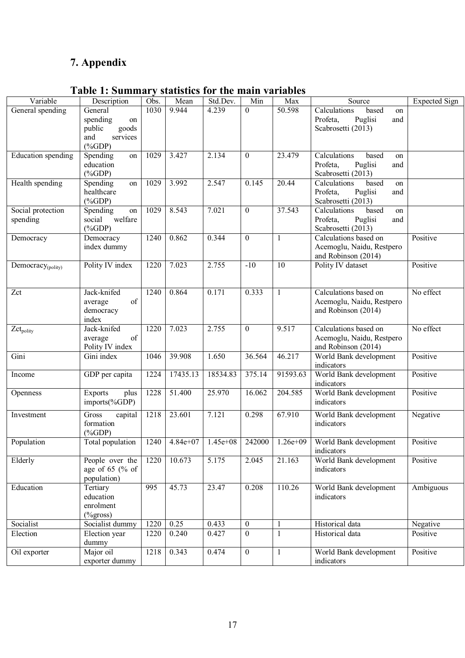## **7. Appendix**

## **Table 1: Summary statistics for the main variables**

| Variable                 | Description                  | Obs. | Mean       | Std.Dev.   | Min            | Max          | Source                                           | Expected Sign |
|--------------------------|------------------------------|------|------------|------------|----------------|--------------|--------------------------------------------------|---------------|
| General spending         | General                      | 1030 | 9.944      | 4.239      | $\theta$       | 50.598       | Calculations<br>based<br>on                      |               |
|                          | spending<br>on               |      |            |            |                |              | Profeta,<br>Puglisi<br>and                       |               |
|                          | public<br>goods              |      |            |            |                |              | Scabrosetti (2013)                               |               |
|                          | services<br>and              |      |            |            |                |              |                                                  |               |
|                          | $(\%GDP)$                    |      |            |            |                |              |                                                  |               |
| Education spending       | Spending<br>on               | 1029 | 3.427      | 2.134      | $\overline{0}$ | 23.479       | Calculations<br>based<br>on                      |               |
|                          | education                    |      |            |            |                |              | Profeta,<br>Puglisi<br>and                       |               |
|                          | $(\%GDP)$                    |      |            |            |                |              | Scabrosetti (2013)                               |               |
| Health spending          | Spending<br>on<br>healthcare | 1029 | 3.992      | 2.547      | 0.145          | 20.44        | Calculations<br>based<br>on                      |               |
|                          | $(\%GDP)$                    |      |            |            |                |              | Profeta,<br>Puglisi<br>and<br>Scabrosetti (2013) |               |
| Social protection        | Spending<br>on               | 1029 | 8.543      | 7.021      | $\overline{0}$ | 37.543       | Calculations<br>based<br>on                      |               |
| spending                 | welfare<br>social            |      |            |            |                |              | Profeta,<br>Puglisi<br>and                       |               |
|                          | $(\%GDP)$                    |      |            |            |                |              | Scabrosetti (2013)                               |               |
| Democracy                | Democracy                    | 1240 | 0.862      | 0.344      | $\theta$       | $\mathbf{1}$ | Calculations based on                            | Positive      |
|                          | index dummy                  |      |            |            |                |              | Acemoglu, Naidu, Restpero                        |               |
|                          |                              |      |            |            |                |              | and Robinson (2014)                              |               |
| $D$ emocracy $_{(poly)}$ | Polity IV index              | 1220 | 7.023      | 2.755      | $-10$          | 10           | Polity IV dataset                                | Positive      |
|                          |                              |      |            |            |                |              |                                                  |               |
|                          |                              |      |            |            |                |              |                                                  |               |
| Zct                      | Jack-knifed                  | 1240 | 0.864      | 0.171      | 0.333          | $\mathbf{1}$ | Calculations based on                            | No effect     |
|                          | of<br>average                |      |            |            |                |              | Acemoglu, Naidu, Restpero                        |               |
|                          | democracy                    |      |            |            |                |              | and Robinson (2014)                              |               |
| $Zct_{\text{poly}}$      | index<br>Jack-knifed         | 1220 | 7.023      | 2.755      | $\overline{0}$ | 9.517        | Calculations based on                            | No effect     |
|                          | of<br>average                |      |            |            |                |              | Acemoglu, Naidu, Restpero                        |               |
|                          | Polity IV index              |      |            |            |                |              | and Robinson (2014)                              |               |
| Gini                     | Gini index                   | 1046 | 39.908     | 1.650      | 36.564         | 46.217       | World Bank development                           | Positive      |
|                          |                              |      |            |            |                |              | indicators                                       |               |
| Income                   | GDP per capita               | 1224 | 17435.13   | 18534.83   | 375.14         | 91593.63     | World Bank development                           | Positive      |
|                          |                              |      |            |            |                |              | indicators                                       |               |
| Openness                 | <b>Exports</b><br>plus       | 1228 | 51.400     | 25.970     | 16.062         | 204.585      | World Bank development                           | Positive      |
|                          | imports(%GDP)                |      |            |            |                |              | indicators                                       |               |
| Investment               | Gross<br>capital             | 1218 | 23.601     | 7.121      | 0.298          | 67.910       | World Bank development                           | Negative      |
|                          | formation                    |      |            |            |                |              | indicators                                       |               |
|                          | $(\%GDP)$                    |      |            |            |                |              |                                                  |               |
| Population               | Total population             | 1240 | $4.84e+07$ | $1.45e+08$ | 242000         | $1.26e+09$   | World Bank development<br>indicators             | Positive      |
| Elderly                  | People over the              | 1220 | 10.673     | 5.175      | 2.045          | 21.163       | World Bank development                           | Positive      |
|                          | age of $65$ (% of            |      |            |            |                |              | indicators                                       |               |
|                          | population)                  |      |            |            |                |              |                                                  |               |
| Education                | Tertiary                     | 995  | 45.73      | 23.47      | 0.208          | 110.26       | World Bank development                           | Ambiguous     |
|                          | education                    |      |            |            |                |              | indicators                                       |               |
|                          | enrolment                    |      |            |            |                |              |                                                  |               |
|                          | $(\%$ gross)                 |      |            |            |                |              |                                                  |               |
| Socialist                | Socialist dummy              | 1220 | 0.25       | 0.433      | $\overline{0}$ | $\mathbf{1}$ | Historical data                                  | Negative      |
| Election                 | Election year                | 1220 | 0.240      | 0.427      | $\theta$       | $\mathbf{1}$ | Historical data                                  | Positive      |
|                          | dummy                        |      |            |            |                |              |                                                  |               |
| Oil exporter             | Major oil                    | 1218 | 0.343      | 0.474      | $\overline{0}$ | $\mathbf{1}$ | World Bank development                           | Positive      |
|                          | exporter dummy               |      |            |            |                |              | indicators                                       |               |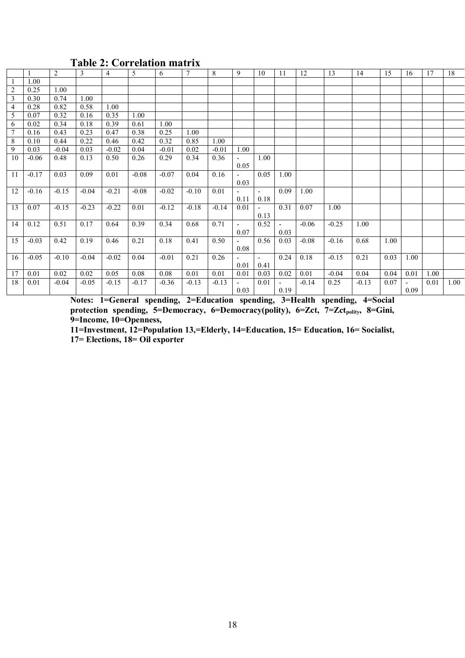|    |         | 2       | 3       | $\overline{4}$ | $\mathfrak{S}$ | 6       | $\tau$  | 8       | 9                        | 10             | 11                       | 12      | 13      | 14      | 15   | 16                     | 17   | 18   |
|----|---------|---------|---------|----------------|----------------|---------|---------|---------|--------------------------|----------------|--------------------------|---------|---------|---------|------|------------------------|------|------|
|    | 1.00    |         |         |                |                |         |         |         |                          |                |                          |         |         |         |      |                        |      |      |
| 2  | 0.25    | 1.00    |         |                |                |         |         |         |                          |                |                          |         |         |         |      |                        |      |      |
| 3  | 0.30    | 0.74    | 1.00    |                |                |         |         |         |                          |                |                          |         |         |         |      |                        |      |      |
| 4  | 0.28    | 0.82    | 0.58    | 1.00           |                |         |         |         |                          |                |                          |         |         |         |      |                        |      |      |
| 5  | 0.07    | 0.32    | 0.16    | 0.35           | 1.00           |         |         |         |                          |                |                          |         |         |         |      |                        |      |      |
| 6  | 0.02    | 0.34    | 0.18    | 0.39           | 0.61           | 1.00    |         |         |                          |                |                          |         |         |         |      |                        |      |      |
| 7  | 0.16    | 0.43    | 0.23    | 0.47           | 0.38           | 0.25    | 1.00    |         |                          |                |                          |         |         |         |      |                        |      |      |
| 8  | 0.10    | 0.44    | 0.22    | 0.46           | 0.42           | 0.32    | 0.85    | 1.00    |                          |                |                          |         |         |         |      |                        |      |      |
| 9  | 0.03    | $-0.04$ | 0.03    | $-0.02$        | 0.04           | $-0.01$ | 0.02    | $-0.01$ | 1.00                     |                |                          |         |         |         |      |                        |      |      |
| 10 | $-0.06$ | 0.48    | 0.13    | 0.50           | 0.26           | 0.29    | 0.34    | 0.36    |                          | 1.00           |                          |         |         |         |      |                        |      |      |
|    |         |         |         |                |                |         |         |         | 0.05                     |                |                          |         |         |         |      |                        |      |      |
| 11 | $-0.17$ | 0.03    | 0.09    | 0.01           | $-0.08$        | $-0.07$ | 0.04    | 0.16    | $\sim$                   | 0.05           | 1.00                     |         |         |         |      |                        |      |      |
|    |         |         |         |                |                |         |         |         | 0.03                     |                |                          |         |         |         |      |                        |      |      |
| 12 | $-0.16$ | $-0.15$ | $-0.04$ | $-0.21$        | $-0.08$        | $-0.02$ | $-0.10$ | 0.01    |                          | $\blacksquare$ | 0.09                     | 1.00    |         |         |      |                        |      |      |
|    |         |         |         |                |                |         |         |         | 0.11                     | 0.18           |                          |         |         |         |      |                        |      |      |
| 13 | 0.07    | $-0.15$ | $-0.23$ | $-0.22$        | 0.01           | $-0.12$ | $-0.18$ | $-0.14$ | 0.01                     | $\sim$         | 0.31                     | 0.07    | 1.00    |         |      |                        |      |      |
|    |         |         |         |                |                |         |         |         |                          | 0.13           |                          |         |         |         |      |                        |      |      |
| 14 | 0.12    | 0.51    | 0.17    | 0.64           | 0.39           | 0.34    | 0.68    | 0.71    | $\overline{\phantom{a}}$ | 0.52           | $\overline{\phantom{a}}$ | $-0.06$ | $-0.25$ | 1.00    |      |                        |      |      |
|    |         |         |         |                |                |         |         |         | 0.07                     |                | 0.03                     |         |         |         |      |                        |      |      |
| 15 | $-0.03$ | 0.42    | 0.19    | 0.46           | 0.21           | 0.18    | 0.41    | 0.50    |                          | 0.56           | 0.03                     | $-0.08$ | $-0.16$ | 0.68    | 1.00 |                        |      |      |
|    |         |         |         |                |                |         |         |         | 0.08                     |                |                          |         |         |         |      |                        |      |      |
| 16 | $-0.05$ | $-0.10$ | $-0.04$ | $-0.02$        | 0.04           | $-0.01$ | 0.21    | 0.26    | 0.01                     | $\sim$<br>0.41 | 0.24                     | 0.18    | $-0.15$ | 0.21    | 0.03 | 1.00                   |      |      |
| 17 | 0.01    | 0.02    | 0.02    | 0.05           | 0.08           | 0.08    | 0.01    | 0.01    | 0.01                     | 0.03           | 0.02                     | 0.01    | $-0.04$ | 0.04    | 0.04 | 0.01                   | 1.00 |      |
| 18 |         |         |         |                |                |         |         |         | $\sim$                   |                |                          |         |         |         |      |                        |      |      |
|    | 0.01    | $-0.04$ | $-0.05$ | $-0.15$        | $-0.17$        | $-0.36$ | $-0.13$ | $-0.13$ | 0.03                     | 0.01           | 0.19                     | $-0.14$ | 0.25    | $-0.13$ | 0.07 | $\blacksquare$<br>0.09 | 0.01 | 1.00 |
|    |         |         |         |                |                |         |         |         |                          |                |                          |         |         |         |      |                        |      |      |

## **Table 2: Correlation matrix**

**Notes: 1=General spending, 2=Education spending, 3=Health spending, 4=Social**  protection spending, 5=Democracy, 6=Democracy(polity), 6=Zct, 7=Zct<sub>polity</sub>, 8=Gini, **9=Income, 10=Openness,** 

**11=Investment, 12=Population 13,=Elderly, 14=Education, 15= Education, 16= Socialist, 17= Elections, 18= Oil exporter**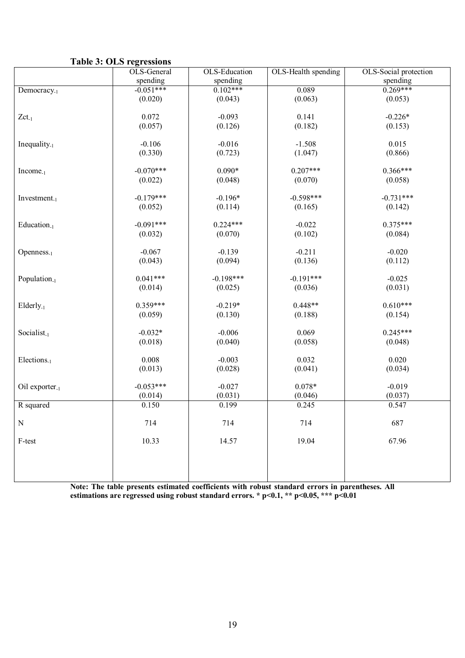| <b>Table 3: OLS regressions</b> |  |
|---------------------------------|--|
|---------------------------------|--|

|                            | OLS-General | OLS-Education | OLS-Health spending | OLS-Social protection |
|----------------------------|-------------|---------------|---------------------|-----------------------|
|                            | spending    | spending      |                     | spending              |
| Democracy <sub>-1</sub>    | $-0.051***$ | $0.102***$    | 0.089               | $0.269***$            |
|                            | (0.020)     | (0.043)       | (0.063)             | (0.053)               |
|                            |             |               |                     |                       |
| $Zct_{-1}$                 | 0.072       | $-0.093$      | 0.141               | $-0.226*$             |
|                            | (0.057)     | (0.126)       | (0.182)             | (0.153)               |
| Inequality. $_1$           | $-0.106$    | $-0.016$      | $-1.508$            | 0.015                 |
|                            | (0.330)     | (0.723)       | (1.047)             | (0.866)               |
|                            |             |               |                     |                       |
| $Income_{-1}$              | $-0.070***$ | $0.090*$      | $0.207***$          | $0.366***$            |
|                            | (0.022)     | (0.048)       | (0.070)             | (0.058)               |
|                            |             |               |                     |                       |
| $Investment_{-1}$          | $-0.179***$ | $-0.196*$     | $-0.598***$         | $-0.731***$           |
|                            | (0.052)     | (0.114)       | (0.165)             | (0.142)               |
|                            |             |               |                     |                       |
| Education <sub>-1</sub>    | $-0.091***$ | $0.224***$    | $-0.022$            | $0.375***$            |
|                            | (0.032)     | (0.070)       | (0.102)             | (0.084)               |
| Openness <sub>-1</sub>     | $-0.067$    | $-0.139$      | $-0.211$            | $-0.020$              |
|                            | (0.043)     | (0.094)       | (0.136)             | (0.112)               |
|                            |             |               |                     |                       |
| Population <sub>-1</sub>   | $0.041***$  | $-0.198***$   | $-0.191***$         | $-0.025$              |
|                            | (0.014)     | (0.025)       | (0.036)             | (0.031)               |
|                            |             |               |                     |                       |
| Elderly <sub>-1</sub>      | $0.359***$  | $-0.219*$     | $0.448**$           | $0.610***$            |
|                            | (0.059)     | (0.130)       | (0.188)             | (0.154)               |
|                            |             |               |                     |                       |
| Socialist <sub>-1</sub>    | $-0.032*$   | $-0.006$      | 0.069               | $0.245***$            |
|                            | (0.018)     | (0.040)       | (0.058)             | (0.048)               |
|                            | 0.008       | $-0.003$      | 0.032               | 0.020                 |
| Elections <sub>-1</sub>    | (0.013)     | (0.028)       | (0.041)             | (0.034)               |
|                            |             |               |                     |                       |
| Oil exporter <sub>-1</sub> | $-0.053***$ | $-0.027$      | $0.078*$            | $-0.019$              |
|                            | (0.014)     | (0.031)       | (0.046)             | (0.037)               |
| R squared                  | 0.150       | 0.199         | 0.245               | 0.547                 |
|                            |             |               |                     |                       |
| ${\rm N}$                  | 714         | 714           | 714                 | 687                   |
|                            |             |               |                     |                       |
| F-test                     | 10.33       | 14.57         | 19.04               | 67.96                 |
|                            |             |               |                     |                       |
|                            |             |               |                     |                       |
|                            |             |               |                     |                       |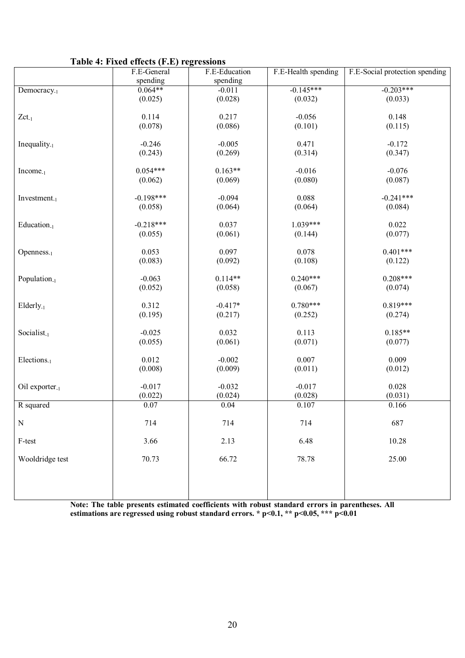| Table 4: Fixed effects (F.E) regressions |  |  |
|------------------------------------------|--|--|
|------------------------------------------|--|--|

|                          | F.E-General      | F.E-Education        | F.E-Health spending | F.E-Social protection spending |
|--------------------------|------------------|----------------------|---------------------|--------------------------------|
|                          | spending         | spending             |                     |                                |
| Democracy <sub>-1</sub>  | $0.064**$        | $-0.011$             | $-0.145***$         | $-0.203***$                    |
|                          | (0.025)          | (0.028)              | (0.032)             | (0.033)                        |
|                          |                  |                      |                     |                                |
| $Zct_{-1}$               | 0.114            | 0.217                | $-0.056$            | 0.148                          |
|                          | (0.078)          | (0.086)              | (0.101)             | (0.115)                        |
|                          |                  |                      |                     |                                |
| Inequality $_{-1}$       | $-0.246$         | $-0.005$             | 0.471               | $-0.172$                       |
|                          | (0.243)          | (0.269)              | (0.314)             | (0.347)                        |
| $Income-1$               | $0.054***$       | $0.163**$            | $-0.016$            | $-0.076$                       |
|                          | (0.062)          | (0.069)              | (0.080)             | (0.087)                        |
|                          |                  |                      |                     |                                |
| Investment. $_1$         | $-0.198***$      | $-0.094$             | 0.088               | $-0.241***$                    |
|                          | (0.058)          | (0.064)              | (0.064)             | (0.084)                        |
|                          |                  |                      |                     |                                |
| Education <sub>-1</sub>  | $-0.218***$      | 0.037                | $1.039***$          | 0.022                          |
|                          | (0.055)          | (0.061)              | (0.144)             | (0.077)                        |
|                          |                  |                      |                     |                                |
| $Openness_{-1}$          | 0.053            | 0.097                | 0.078               | $0.401***$                     |
|                          | (0.083)          | (0.092)              | (0.108)             | (0.122)                        |
|                          |                  |                      |                     |                                |
| Population <sub>-1</sub> | $-0.063$         | $0.114**$            | $0.240***$          | $0.208***$                     |
|                          | (0.052)          | (0.058)              | (0.067)             | (0.074)                        |
|                          |                  |                      | $0.780***$          | $0.819***$                     |
| $Elderly-1$              | 0.312<br>(0.195) | $-0.417*$<br>(0.217) | (0.252)             | (0.274)                        |
|                          |                  |                      |                     |                                |
| Socialist <sub>-1</sub>  | $-0.025$         | 0.032                | 0.113               | $0.185**$                      |
|                          | (0.055)          | (0.061)              | (0.071)             | (0.077)                        |
|                          |                  |                      |                     |                                |
| Elections <sub>-1</sub>  | 0.012            | $-0.002$             | 0.007               | 0.009                          |
|                          | (0.008)          | (0.009)              | (0.011)             | (0.012)                        |
|                          |                  |                      |                     |                                |
| Oil exporter. $_1$       | $-0.017$         | $-0.032$             | $-0.017$            | 0.028                          |
|                          | (0.022)          | (0.024)              | (0.028)             | (0.031)                        |
| R squared                | 0.07             | 0.04                 | 0.107               | 0.166                          |
|                          |                  |                      |                     |                                |
| $\mathbf N$              | 714              | 714                  | 714                 | 687                            |
|                          |                  |                      |                     |                                |
| F-test                   | 3.66             | 2.13                 | 6.48                | 10.28                          |
| Wooldridge test          | 70.73            | 66.72                | 78.78               | 25.00                          |
|                          |                  |                      |                     |                                |
|                          |                  |                      |                     |                                |
|                          |                  |                      |                     |                                |
|                          |                  |                      |                     |                                |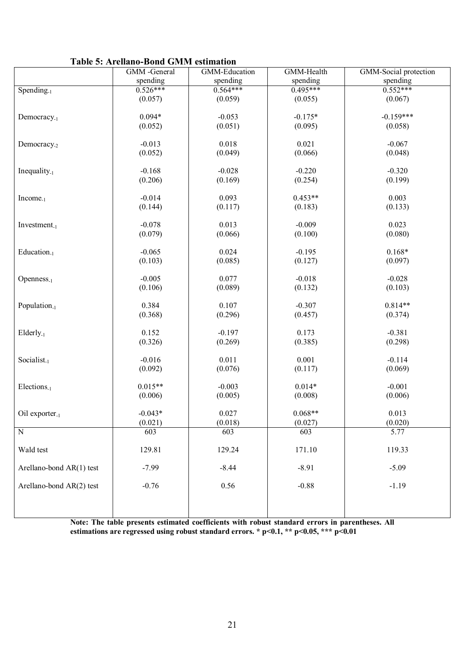|  | <b>Table 5: Arellano-Bond GMM estimation</b> |  |  |
|--|----------------------------------------------|--|--|
|--|----------------------------------------------|--|--|

|                            | GMM -General | GMM-Education | GMM-Health | GMM-Social protection |
|----------------------------|--------------|---------------|------------|-----------------------|
|                            | spending     | spending      | spending   | spending              |
| Spending. $1$              | $0.526***$   | $0.564***$    | $0.495***$ | $0.552***$            |
|                            | (0.057)      | (0.059)       | (0.055)    | (0.067)               |
|                            |              |               |            |                       |
| Democracy <sub>-1</sub>    | $0.094*$     | $-0.053$      | $-0.175*$  | $-0.159***$           |
|                            | (0.052)      | (0.051)       | (0.095)    | (0.058)               |
|                            |              |               |            |                       |
| Democracy <sub>-2</sub>    | $-0.013$     | 0.018         | 0.021      | $-0.067$              |
|                            | (0.052)      | (0.049)       | (0.066)    | (0.048)               |
|                            |              |               |            |                       |
| Inequality $_{-1}$         | $-0.168$     | $-0.028$      | $-0.220$   | $-0.320$              |
|                            | (0.206)      | (0.169)       | (0.254)    | (0.199)               |
| $Income_{-1}$              | $-0.014$     | 0.093         | $0.453**$  | 0.003                 |
|                            | (0.144)      | (0.117)       | (0.183)    | (0.133)               |
|                            |              |               |            |                       |
| $Investment_{-1}$          | $-0.078$     | 0.013         | $-0.009$   | 0.023                 |
|                            | (0.079)      | (0.066)       | (0.100)    | (0.080)               |
|                            |              |               |            |                       |
| Education <sub>-1</sub>    | $-0.065$     | 0.024         | $-0.195$   | $0.168*$              |
|                            | (0.103)      | (0.085)       | (0.127)    | (0.097)               |
|                            |              |               |            |                       |
| $Openness_{-1}$            | $-0.005$     | 0.077         | $-0.018$   | $-0.028$              |
|                            | (0.106)      | (0.089)       | (0.132)    | (0.103)               |
| Population <sub>-1</sub>   | 0.384        | 0.107         | $-0.307$   | $0.814**$             |
|                            | (0.368)      | (0.296)       | (0.457)    | (0.374)               |
|                            |              |               |            |                       |
| $Elderly_{-1}$             | 0.152        | $-0.197$      | 0.173      | $-0.381$              |
|                            | (0.326)      | (0.269)       | (0.385)    | (0.298)               |
|                            |              |               |            |                       |
| Socialist <sub>-1</sub>    | $-0.016$     | 0.011         | 0.001      | $-0.114$              |
|                            | (0.092)      | (0.076)       | (0.117)    | (0.069)               |
|                            |              |               |            |                       |
| $Elections_{-1}$           | $0.015**$    | $-0.003$      | $0.014*$   | $-0.001$              |
|                            | (0.006)      | (0.005)       | (0.008)    | (0.006)               |
| Oil exporter <sub>-1</sub> | $-0.043*$    | 0.027         | $0.068**$  | 0.013                 |
|                            | (0.021)      | (0.018)       | (0.027)    | (0.020)               |
| ${\bf N}$                  | 603          | 603           | 603        | 5.77                  |
|                            |              |               |            |                       |
| Wald test                  | 129.81       | 129.24        | 171.10     | 119.33                |
|                            |              |               |            |                       |
| Arellano-bond AR(1) test   | $-7.99$      | $-8.44$       | $-8.91$    | $-5.09$               |
|                            |              |               |            |                       |
| Arellano-bond AR(2) test   | $-0.76$      | 0.56          | $-0.88$    | $-1.19$               |
|                            |              |               |            |                       |
|                            |              |               |            |                       |
|                            |              |               |            |                       |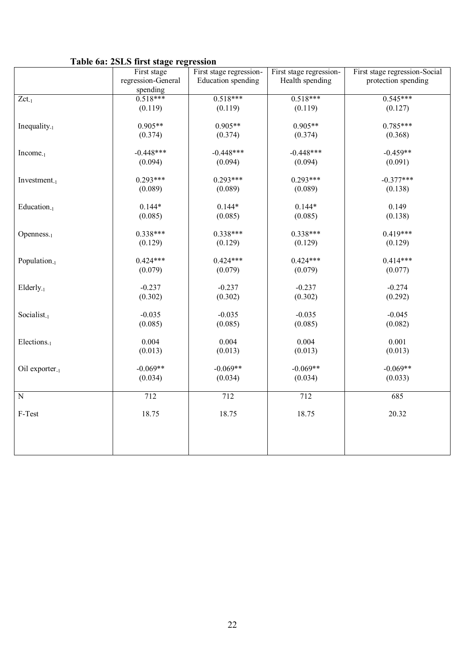## **Table 6a: 2SLS first stage regression**

|                            | $\cdots$<br>First stage | First stage regression- | First stage regression- | First stage regression-Social |
|----------------------------|-------------------------|-------------------------|-------------------------|-------------------------------|
|                            | regression-General      | Education spending      | Health spending         | protection spending           |
|                            | spending                |                         |                         |                               |
| $Zct_{-1}$                 | $0.518***$              | $0.518***$              | $0.518***$              | $0.545***$                    |
|                            | (0.119)                 | (0.119)                 | (0.119)                 | (0.127)                       |
|                            |                         |                         |                         |                               |
| Inequality $_{-1}$         | $0.905**$               | $0.905**$               | $0.905**$               | $0.785***$                    |
|                            | (0.374)                 | (0.374)                 | (0.374)                 | (0.368)                       |
|                            |                         |                         |                         |                               |
| $Income_{-1}$              | $-0.448***$             | $-0.448***$             | $-0.448***$             | $-0.459**$                    |
|                            | (0.094)                 | (0.094)                 | (0.094)                 | (0.091)                       |
|                            |                         |                         |                         |                               |
| $Investment_{-1}$          | $0.293***$              | $0.293***$              | $0.293***$              | $-0.377***$                   |
|                            | (0.089)                 | (0.089)                 | (0.089)                 | (0.138)                       |
|                            | $0.144*$                | $0.144*$                | $0.144*$                | 0.149                         |
| Education <sub>-1</sub>    | (0.085)                 | (0.085)                 | (0.085)                 | (0.138)                       |
|                            |                         |                         |                         |                               |
| $Openness_{-1}$            | $0.338***$              | 0.338***                | $0.338***$              | $0.419***$                    |
|                            | (0.129)                 | (0.129)                 | (0.129)                 | (0.129)                       |
|                            |                         |                         |                         |                               |
| Population <sub>-1</sub>   | $0.424***$              | $0.424***$              | $0.424***$              | $0.414***$                    |
|                            | (0.079)                 | (0.079)                 | (0.079)                 | (0.077)                       |
|                            |                         |                         |                         |                               |
| $Elderly_{-1}$             | $-0.237$                | $-0.237$                | $-0.237$                | $-0.274$                      |
|                            | (0.302)                 | (0.302)                 | (0.302)                 | (0.292)                       |
|                            |                         |                         |                         |                               |
| Socialist <sub>-1</sub>    | $-0.035$                | $-0.035$                | $-0.035$                | $-0.045$                      |
|                            | (0.085)                 | (0.085)                 | (0.085)                 | (0.082)                       |
|                            |                         |                         |                         |                               |
| Elections <sub>-1</sub>    | 0.004                   | 0.004                   | 0.004                   | 0.001                         |
|                            | (0.013)                 | (0.013)                 | (0.013)                 | (0.013)                       |
|                            | $-0.069**$              | $-0.069**$              | $-0.069**$              | $-0.069**$                    |
| Oil exporter <sub>-1</sub> | (0.034)                 | (0.034)                 | (0.034)                 | (0.033)                       |
|                            |                         |                         |                         |                               |
| $\overline{N}$             | 712                     | 712                     | 712                     | 685                           |
|                            |                         |                         |                         |                               |
| $F-Test$                   | 18.75                   | 18.75                   | 18.75                   | 20.32                         |
|                            |                         |                         |                         |                               |
|                            |                         |                         |                         |                               |
|                            |                         |                         |                         |                               |
|                            |                         |                         |                         |                               |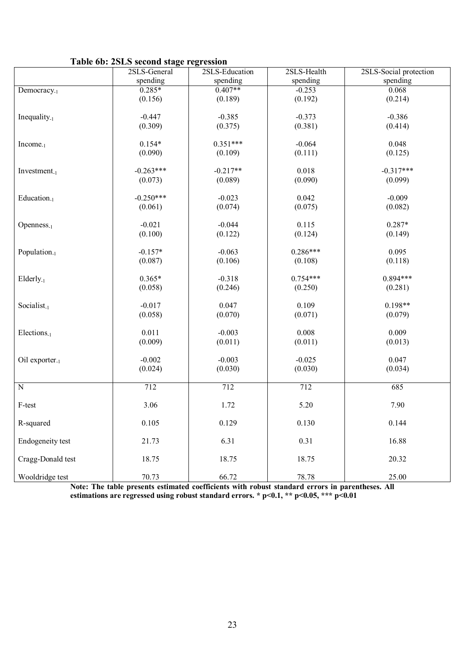## **Table 6b: 2SLS second stage regression**

|                            | $1000$ vol. $2010$ second stage $100$ coston<br>2SLS-General | 2SLS-Education | 2SLS-Health | 2SLS-Social protection |
|----------------------------|--------------------------------------------------------------|----------------|-------------|------------------------|
|                            | spending                                                     | spending       | spending    | spending               |
| Democracy <sub>-1</sub>    | $0.285*$                                                     | $0.407**$      | $-0.253$    | 0.068                  |
|                            | (0.156)                                                      | (0.189)        | (0.192)     | (0.214)                |
|                            |                                                              |                |             |                        |
| Inequality $_{-1}$         | $-0.447$                                                     | $-0.385$       | $-0.373$    | $-0.386$               |
|                            | (0.309)                                                      | (0.375)        | (0.381)     | (0.414)                |
| Income <sub>-1</sub>       | $0.154*$                                                     | $0.351***$     | $-0.064$    | 0.048                  |
|                            | (0.090)                                                      | (0.109)        | (0.111)     | (0.125)                |
|                            |                                                              |                |             |                        |
| $Investment_{-1}$          | $-0.263***$                                                  | $-0.217**$     | 0.018       | $-0.317***$            |
|                            | (0.073)                                                      | (0.089)        | (0.090)     | (0.099)                |
| Education <sub>-1</sub>    | $-0.250***$                                                  | $-0.023$       | 0.042       | $-0.009$               |
|                            | (0.061)                                                      | (0.074)        | (0.075)     | (0.082)                |
|                            |                                                              |                |             |                        |
| $Openness_{-1}$            | $-0.021$                                                     | $-0.044$       | 0.115       | $0.287*$               |
|                            | (0.100)                                                      | (0.122)        | (0.124)     | (0.149)                |
|                            |                                                              |                |             |                        |
| Population <sub>-1</sub>   | $-0.157*$                                                    | $-0.063$       | $0.286***$  | 0.095                  |
|                            | (0.087)                                                      | (0.106)        | (0.108)     | (0.118)                |
|                            | $0.365*$                                                     | $-0.318$       | $0.754***$  | $0.894***$             |
| Elderly <sub>-1</sub>      | (0.058)                                                      | (0.246)        | (0.250)     | (0.281)                |
|                            |                                                              |                |             |                        |
| Socialist <sub>-1</sub>    | $-0.017$                                                     | 0.047          | 0.109       | $0.198**$              |
|                            | (0.058)                                                      | (0.070)        | (0.071)     | (0.079)                |
|                            |                                                              |                |             |                        |
| Elections <sub>-1</sub>    | 0.011                                                        | $-0.003$       | 0.008       | 0.009                  |
|                            | (0.009)                                                      | (0.011)        | (0.011)     | (0.013)                |
| Oil exporter <sub>-1</sub> | $-0.002$                                                     | $-0.003$       | $-0.025$    | 0.047                  |
|                            | (0.024)                                                      | (0.030)        | (0.030)     | (0.034)                |
|                            |                                                              |                |             |                        |
| $\overline{N}$             | 712                                                          | 712            | 712         | 685                    |
|                            |                                                              |                |             |                        |
| F-test                     | 3.06                                                         | 1.72           | 5.20        | 7.90                   |
| R-squared                  | 0.105                                                        | 0.129          | 0.130       | 0.144                  |
|                            |                                                              |                |             |                        |
| Endogeneity test           | 21.73                                                        | 6.31           | 0.31        | 16.88                  |
| Cragg-Donald test          |                                                              |                |             |                        |
|                            | 18.75                                                        | 18.75          | 18.75       | 20.32                  |
| Wooldridge test            | 70.73                                                        | 66.72          | 78.78       | 25.00                  |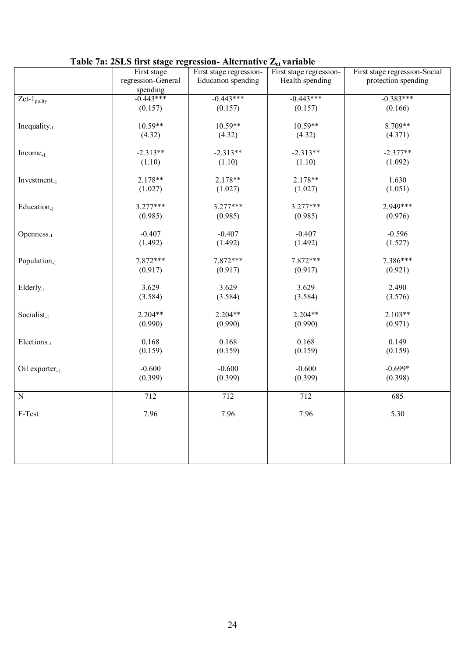|                                       |                    | radio rai moldo moi stage regression rinternative $E_0$ variable |                         |                               |
|---------------------------------------|--------------------|------------------------------------------------------------------|-------------------------|-------------------------------|
|                                       | First stage        | First stage regression-                                          | First stage regression- | First stage regression-Social |
|                                       | regression-General | Education spending                                               | Health spending         | protection spending           |
|                                       | spending           |                                                                  |                         |                               |
| $\overline{Z}$ ct-1 <sub>polity</sub> | $-0.443***$        | $-0.443***$                                                      | $-0.443***$             | $-0.383***$                   |
|                                       | (0.157)            | (0.157)                                                          | (0.157)                 | (0.166)                       |
|                                       |                    |                                                                  |                         |                               |
|                                       | $10.59**$          | $10.59**$                                                        | $10.59**$               | 8.709**                       |
| Inequality $_{-1}$                    |                    |                                                                  |                         |                               |
|                                       | (4.32)             | (4.32)                                                           | (4.32)                  | (4.371)                       |
|                                       |                    |                                                                  |                         |                               |
| $Income_{-1}$                         | $-2.313**$         | $-2.313**$                                                       | $-2.313**$              | $-2.377**$                    |
|                                       | (1.10)             | (1.10)                                                           | (1.10)                  | (1.092)                       |
|                                       |                    |                                                                  |                         |                               |
| Investment <sub>-1</sub>              | 2.178**            | 2.178**                                                          | 2.178**                 | 1.630                         |
|                                       | (1.027)            | (1.027)                                                          | (1.027)                 | (1.051)                       |
|                                       |                    |                                                                  |                         |                               |
| Education <sub>-1</sub>               | $3.277***$         | $3.277***$                                                       | $3.277***$              | 2.949***                      |
|                                       |                    |                                                                  |                         |                               |
|                                       | (0.985)            | (0.985)                                                          | (0.985)                 | (0.976)                       |
|                                       |                    |                                                                  |                         |                               |
| $Openness_{-1}$                       | $-0.407$           | $-0.407$                                                         | $-0.407$                | $-0.596$                      |
|                                       | (1.492)            | (1.492)                                                          | (1.492)                 | (1.527)                       |
|                                       |                    |                                                                  |                         |                               |
| Population <sub>-1</sub>              | 7.872***           | 7.872***                                                         | 7.872***                | 7.386***                      |
|                                       | (0.917)            | (0.917)                                                          | (0.917)                 | (0.921)                       |
|                                       |                    |                                                                  |                         |                               |
| Elderly <sub>-1</sub>                 | 3.629              | 3.629                                                            | 3.629                   | 2.490                         |
|                                       | (3.584)            | (3.584)                                                          | (3.584)                 | (3.576)                       |
|                                       |                    |                                                                  |                         |                               |
|                                       |                    |                                                                  |                         |                               |
| Socialist <sub>-1</sub>               | $2.204**$          | $2.204**$                                                        | 2.204**                 | $2.103**$                     |
|                                       | (0.990)            | (0.990)                                                          | (0.990)                 | (0.971)                       |
|                                       |                    |                                                                  |                         |                               |
| Elections <sub>-1</sub>               | 0.168              | 0.168                                                            | 0.168                   | 0.149                         |
|                                       | (0.159)            | (0.159)                                                          | (0.159)                 | (0.159)                       |
|                                       |                    |                                                                  |                         |                               |
| Oil exporter. $1$                     | $-0.600$           | $-0.600$                                                         | $-0.600$                | $-0.699*$                     |
|                                       | (0.399)            | (0.399)                                                          | (0.399)                 | (0.398)                       |
|                                       |                    |                                                                  |                         |                               |
| $\overline{N}$                        | 712                | 712                                                              | 712                     | 685                           |
|                                       |                    |                                                                  |                         |                               |
|                                       |                    |                                                                  |                         |                               |
| F-Test                                | 7.96               | 7.96                                                             | 7.96                    | 5.30                          |
|                                       |                    |                                                                  |                         |                               |
|                                       |                    |                                                                  |                         |                               |
|                                       |                    |                                                                  |                         |                               |
|                                       |                    |                                                                  |                         |                               |
|                                       |                    |                                                                  |                         |                               |
|                                       |                    |                                                                  |                         |                               |

## **Table 7a: 2SLS first stage regression- Alternative**  $Z_{rt}$  **variable**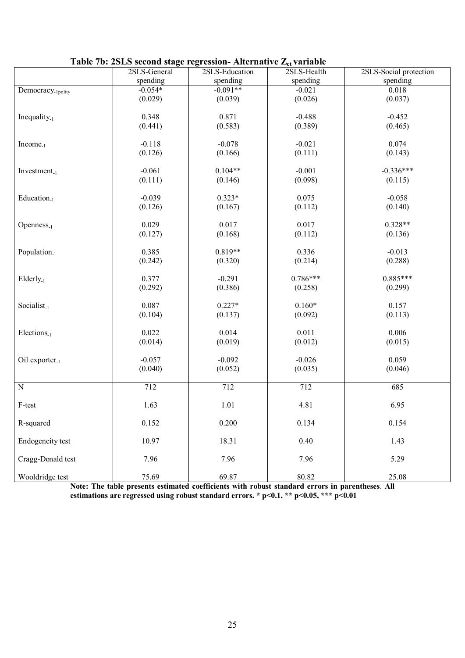| Table 7b: 2SLS second stage regression- Alternative $Z_{ct}$ variable |              |                |             |                        |  |  |  |  |
|-----------------------------------------------------------------------|--------------|----------------|-------------|------------------------|--|--|--|--|
|                                                                       | 2SLS-General | 2SLS-Education | 2SLS-Health | 2SLS-Social protection |  |  |  |  |
|                                                                       | spending     | spending       | spending    | spending               |  |  |  |  |
| Democracy <sub>-1polity</sub>                                         | $-0.054*$    | $-0.091**$     | $-0.021$    | 0.018                  |  |  |  |  |
|                                                                       | (0.029)      | (0.039)        | (0.026)     | (0.037)                |  |  |  |  |
|                                                                       |              |                |             |                        |  |  |  |  |
| Inequality $_{-1}$                                                    | 0.348        | 0.871          | $-0.488$    | $-0.452$               |  |  |  |  |
|                                                                       | (0.441)      | (0.583)        | (0.389)     | (0.465)                |  |  |  |  |
|                                                                       |              |                |             |                        |  |  |  |  |
| $Income_{-1}$                                                         | $-0.118$     | $-0.078$       | $-0.021$    | 0.074                  |  |  |  |  |
|                                                                       | (0.126)      | (0.166)        | (0.111)     | (0.143)                |  |  |  |  |
|                                                                       |              |                |             |                        |  |  |  |  |
| $Investment_{-1}$                                                     | $-0.061$     | $0.104**$      | $-0.001$    | $-0.336***$            |  |  |  |  |
|                                                                       | (0.111)      | (0.146)        | (0.098)     | (0.115)                |  |  |  |  |
|                                                                       |              |                |             |                        |  |  |  |  |
| Education <sub>-1</sub>                                               | $-0.039$     | $0.323*$       | 0.075       | $-0.058$               |  |  |  |  |
|                                                                       | (0.126)      | (0.167)        | (0.112)     | (0.140)                |  |  |  |  |
|                                                                       |              |                |             |                        |  |  |  |  |
| $Openness_{-1}$                                                       | 0.029        | 0.017          | 0.017       | $0.328**$              |  |  |  |  |
|                                                                       | (0.127)      | (0.168)        | (0.112)     | (0.136)                |  |  |  |  |
|                                                                       |              |                |             |                        |  |  |  |  |
| Population <sub>-1</sub>                                              | 0.385        | $0.819**$      | 0.336       | $-0.013$               |  |  |  |  |
|                                                                       | (0.242)      | (0.320)        | (0.214)     | (0.288)                |  |  |  |  |
|                                                                       |              |                |             |                        |  |  |  |  |
| $Elderly_{-1}$                                                        | 0.377        | $-0.291$       | $0.786***$  | $0.885***$             |  |  |  |  |
|                                                                       | (0.292)      | (0.386)        | (0.258)     | (0.299)                |  |  |  |  |
|                                                                       |              |                |             |                        |  |  |  |  |
| Socialist <sub>-1</sub>                                               | 0.087        | $0.227*$       | $0.160*$    | 0.157                  |  |  |  |  |
|                                                                       | (0.104)      | (0.137)        | (0.092)     | (0.113)                |  |  |  |  |
|                                                                       |              |                |             |                        |  |  |  |  |
| Elections <sub>-1</sub>                                               | 0.022        | 0.014          | 0.011       | 0.006                  |  |  |  |  |
|                                                                       | (0.014)      | (0.019)        | (0.012)     | (0.015)                |  |  |  |  |
|                                                                       |              |                |             |                        |  |  |  |  |
| Oil exporter. $1$                                                     | $-0.057$     | $-0.092$       | $-0.026$    | 0.059                  |  |  |  |  |
|                                                                       | (0.040)      | (0.052)        | (0.035)     | (0.046)                |  |  |  |  |
|                                                                       | 712          | 712            | 712         |                        |  |  |  |  |
| $\overline{N}$                                                        |              |                |             | 685                    |  |  |  |  |
|                                                                       | 1.63         | 1.01           | 4.81        | 6.95                   |  |  |  |  |
| F-test                                                                |              |                |             |                        |  |  |  |  |
| R-squared                                                             | 0.152        | 0.200          | 0.134       | 0.154                  |  |  |  |  |
|                                                                       |              |                |             |                        |  |  |  |  |
| Endogeneity test                                                      | 10.97        | 18.31          | 0.40        | 1.43                   |  |  |  |  |
|                                                                       |              |                |             |                        |  |  |  |  |
| Cragg-Donald test                                                     | 7.96         | 7.96           | 7.96        | 5.29                   |  |  |  |  |
|                                                                       |              |                |             |                        |  |  |  |  |
| Wooldridge test                                                       | 75.69        | 69.87          | 80.82       | 25.08                  |  |  |  |  |

| Table 7b: 2SLS second stage regression- Alternative Z <sub>ct</sub> variable |  |  |  |  |  |
|------------------------------------------------------------------------------|--|--|--|--|--|
|------------------------------------------------------------------------------|--|--|--|--|--|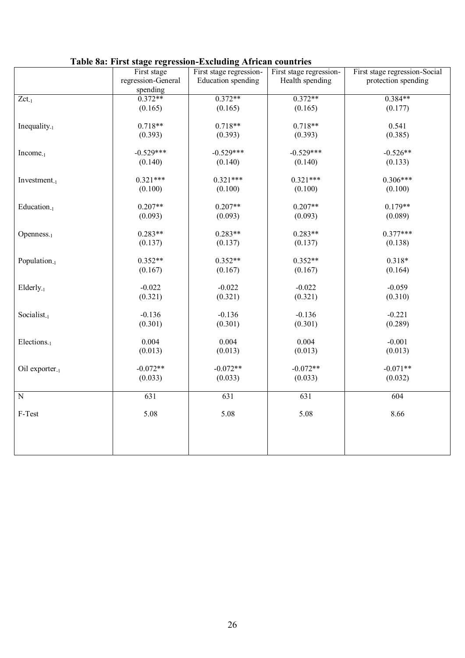|                            | Tuble our Thoe stuge regression Eachwang Thrieun countries |                         |                         |                               |
|----------------------------|------------------------------------------------------------|-------------------------|-------------------------|-------------------------------|
|                            | First stage                                                | First stage regression- | First stage regression- | First stage regression-Social |
|                            | regression-General                                         | Education spending      | Health spending         | protection spending           |
|                            | spending                                                   |                         |                         |                               |
| $Zct_{-1}$                 | $0.372**$                                                  | $0.372**$               | $0.372**$               | $0.384**$                     |
|                            | (0.165)                                                    | (0.165)                 | (0.165)                 | (0.177)                       |
|                            |                                                            |                         |                         |                               |
|                            |                                                            |                         |                         |                               |
| Inequality $_{-1}$         | $0.718**$                                                  | $0.718**$               | $0.718**$               | 0.541                         |
|                            | (0.393)                                                    | (0.393)                 | (0.393)                 | (0.385)                       |
|                            |                                                            |                         |                         |                               |
| $Income_{-1}$              | $-0.529***$                                                | $-0.529***$             | $-0.529***$             | $-0.526**$                    |
|                            | (0.140)                                                    | (0.140)                 | (0.140)                 | (0.133)                       |
|                            |                                                            |                         |                         |                               |
| Investment.1               | $0.321***$                                                 | $0.321***$              | $0.321***$              | $0.306***$                    |
|                            |                                                            |                         |                         |                               |
|                            | (0.100)                                                    | (0.100)                 | (0.100)                 | (0.100)                       |
|                            |                                                            |                         |                         |                               |
| Education <sub>-1</sub>    | $0.207**$                                                  | $0.207**$               | $0.207**$               | $0.179**$                     |
|                            | (0.093)                                                    | (0.093)                 | (0.093)                 | (0.089)                       |
|                            |                                                            |                         |                         |                               |
| $Openness_{-1}$            | $0.283**$                                                  | $0.283**$               | $0.283**$               | $0.377***$                    |
|                            | (0.137)                                                    | (0.137)                 | (0.137)                 | (0.138)                       |
|                            |                                                            |                         |                         |                               |
|                            | $0.352**$                                                  | $0.352**$               | $0.352**$               | $0.318*$                      |
| Population <sub>-1</sub>   |                                                            |                         |                         |                               |
|                            | (0.167)                                                    | (0.167)                 | (0.167)                 | (0.164)                       |
|                            |                                                            |                         |                         |                               |
| Elderly <sub>-1</sub>      | $-0.022$                                                   | $-0.022$                | $-0.022$                | $-0.059$                      |
|                            | (0.321)                                                    | (0.321)                 | (0.321)                 | (0.310)                       |
|                            |                                                            |                         |                         |                               |
| Socialist <sub>-1</sub>    | $-0.136$                                                   | $-0.136$                | $-0.136$                | $-0.221$                      |
|                            | (0.301)                                                    | (0.301)                 | (0.301)                 | (0.289)                       |
|                            |                                                            |                         |                         |                               |
|                            | 0.004                                                      | 0.004                   | 0.004                   | $-0.001$                      |
| Elections <sub>-1</sub>    |                                                            |                         |                         |                               |
|                            | (0.013)                                                    | (0.013)                 | (0.013)                 | (0.013)                       |
|                            |                                                            |                         |                         |                               |
| Oil exporter <sub>-1</sub> | $-0.072**$                                                 | $-0.072**$              | $-0.072**$              | $-0.071**$                    |
|                            | (0.033)                                                    | (0.033)                 | (0.033)                 | (0.032)                       |
|                            |                                                            |                         |                         |                               |
| $\overline{N}$             | 631                                                        | 631                     | 631                     | 604                           |
|                            |                                                            |                         |                         |                               |
| F-Test                     | 5.08                                                       | 5.08                    | 5.08                    | 8.66                          |
|                            |                                                            |                         |                         |                               |
|                            |                                                            |                         |                         |                               |
|                            |                                                            |                         |                         |                               |
|                            |                                                            |                         |                         |                               |
|                            |                                                            |                         |                         |                               |

## **Table 8a: First stage regression-Excluding African countries**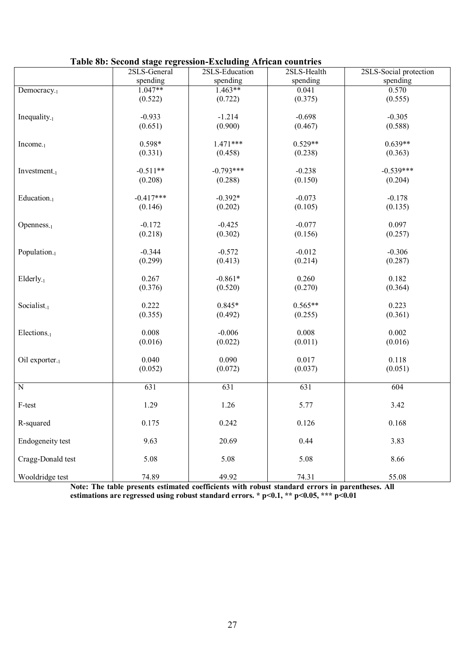|                          | Table 80: Second stage regression-Excluding African countries |                |             |                        |
|--------------------------|---------------------------------------------------------------|----------------|-------------|------------------------|
|                          | 2SLS-General                                                  | 2SLS-Education | 2SLS-Health | 2SLS-Social protection |
|                          | spending                                                      | spending       | spending    | spending               |
| Democracy <sub>-1</sub>  | $1.047**$                                                     | $1.463**$      | 0.041       | 0.570                  |
|                          | (0.522)                                                       | (0.722)        | (0.375)     | (0.555)                |
|                          |                                                               |                |             |                        |
| Inequality $_{-1}$       | $-0.933$                                                      | $-1.214$       | $-0.698$    | $-0.305$               |
|                          | (0.651)                                                       | (0.900)        | (0.467)     | (0.588)                |
|                          |                                                               |                |             |                        |
| $Income_{-1}$            | $0.598*$                                                      | $1.471***$     | $0.529**$   | $0.639**$              |
|                          | (0.331)                                                       | (0.458)        | (0.238)     | (0.363)                |
|                          |                                                               |                |             |                        |
| Investment. $_1$         | $-0.511**$                                                    | $-0.793***$    | $-0.238$    | $-0.539***$            |
|                          | (0.208)                                                       | (0.288)        | (0.150)     | (0.204)                |
|                          |                                                               |                |             |                        |
| Education <sub>-1</sub>  | $-0.417***$                                                   | $-0.392*$      | $-0.073$    | $-0.178$               |
|                          | (0.146)                                                       | (0.202)        | (0.105)     | (0.135)                |
|                          |                                                               |                |             |                        |
| $Openness_{-1}$          | $-0.172$                                                      | $-0.425$       | $-0.077$    | 0.097                  |
|                          | (0.218)                                                       | (0.302)        | (0.156)     | (0.257)                |
|                          |                                                               |                |             |                        |
| Population <sub>-1</sub> | $-0.344$                                                      | $-0.572$       | $-0.012$    | $-0.306$               |
|                          | (0.299)                                                       | (0.413)        | (0.214)     | (0.287)                |
|                          |                                                               |                |             |                        |
| $Elderly_{-1}$           | 0.267                                                         | $-0.861*$      | 0.260       | 0.182                  |
|                          | (0.376)                                                       | (0.520)        | (0.270)     | (0.364)                |
|                          |                                                               |                |             |                        |
| Socialist <sub>-1</sub>  | 0.222                                                         | $0.845*$       | $0.565**$   | 0.223                  |
|                          | (0.355)                                                       | (0.492)        | (0.255)     | (0.361)                |
|                          |                                                               |                |             |                        |
| Elections <sub>-1</sub>  | 0.008                                                         | $-0.006$       | 0.008       | 0.002                  |
|                          | (0.016)                                                       | (0.022)        | (0.011)     | (0.016)                |
|                          |                                                               |                |             |                        |
| Oil exporter. $1$        | 0.040                                                         | 0.090          | 0.017       | 0.118                  |
|                          | (0.052)                                                       | (0.072)        | (0.037)     | (0.051)                |
|                          |                                                               |                |             |                        |
| $\overline{N}$           | 631                                                           | 631            | 631         | 604                    |
|                          |                                                               |                |             |                        |
| F-test                   | 1.29                                                          | 1.26           | 5.77        | 3.42                   |
|                          |                                                               |                |             |                        |
| R-squared                | 0.175                                                         | 0.242          | 0.126       | 0.168                  |
|                          |                                                               |                |             |                        |
| Endogeneity test         | 9.63                                                          | 20.69          | 0.44        | 3.83                   |
|                          |                                                               |                |             |                        |
| Cragg-Donald test        | 5.08                                                          | 5.08           | 5.08        | 8.66                   |
|                          |                                                               |                |             |                        |
| Wooldridge test          | 74.89                                                         | 49.92          | 74.31       | 55.08                  |

#### **Table 8b: Second stage regression-Excluding African countries**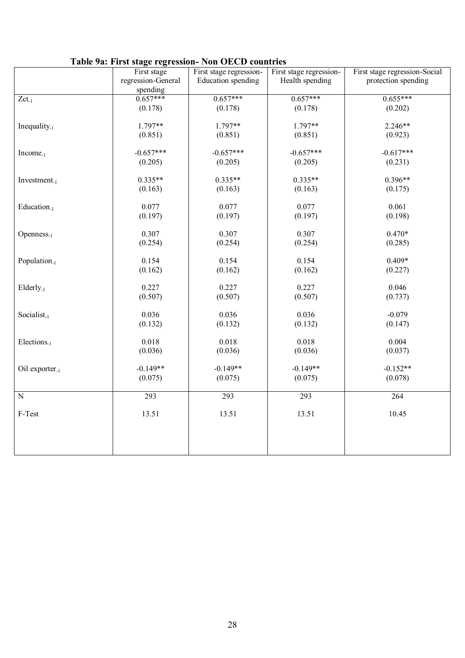|                            |                    | Table 7a. First stage regression- Four OECD countries |                         |                               |
|----------------------------|--------------------|-------------------------------------------------------|-------------------------|-------------------------------|
|                            | First stage        | First stage regression-                               | First stage regression- | First stage regression-Social |
|                            | regression-General | Education spending                                    | Health spending         | protection spending           |
|                            | spending           |                                                       |                         |                               |
| $Zct_{-1}$                 | $0.657***$         | $0.657***$                                            | $0.657***$              | $0.655***$                    |
|                            | (0.178)            | (0.178)                                               | (0.178)                 | (0.202)                       |
|                            |                    |                                                       |                         |                               |
| Inequality. $1$            | 1.797**            | 1.797**                                               | 1.797**                 | $2.246**$                     |
|                            | (0.851)            | (0.851)                                               | (0.851)                 | (0.923)                       |
|                            |                    |                                                       |                         |                               |
| $Income-1$                 | $-0.657***$        | $-0.657***$                                           | $-0.657***$             | $-0.617***$                   |
|                            |                    |                                                       |                         |                               |
|                            | (0.205)            | (0.205)                                               | (0.205)                 | (0.231)                       |
|                            |                    |                                                       |                         |                               |
| Investment.1               | $0.335**$          | $0.335**$                                             | $0.335**$               | $0.396**$                     |
|                            | (0.163)            | (0.163)                                               | (0.163)                 | (0.175)                       |
|                            |                    |                                                       |                         |                               |
| Education <sub>-1</sub>    | 0.077              | 0.077                                                 | 0.077                   | 0.061                         |
|                            | (0.197)            | (0.197)                                               | (0.197)                 | (0.198)                       |
|                            |                    |                                                       |                         |                               |
| Openness <sub>-1</sub>     | 0.307              | 0.307                                                 | 0.307                   | $0.470*$                      |
|                            | (0.254)            | (0.254)                                               | (0.254)                 | (0.285)                       |
|                            |                    |                                                       |                         |                               |
| Population <sub>-1</sub>   | 0.154              | 0.154                                                 | 0.154                   | $0.409*$                      |
|                            | (0.162)            | (0.162)                                               | (0.162)                 | (0.227)                       |
|                            |                    |                                                       |                         |                               |
| $Elderly_{-1}$             | 0.227              | 0.227                                                 | 0.227                   | 0.046                         |
|                            | (0.507)            | (0.507)                                               | (0.507)                 | (0.737)                       |
|                            |                    |                                                       |                         |                               |
| Socialist <sub>-1</sub>    | 0.036              | 0.036                                                 | 0.036                   | $-0.079$                      |
|                            | (0.132)            | (0.132)                                               | (0.132)                 | (0.147)                       |
|                            |                    |                                                       |                         |                               |
|                            |                    |                                                       |                         |                               |
| Elections <sub>-1</sub>    | 0.018              | 0.018                                                 | 0.018                   | 0.004                         |
|                            | (0.036)            | (0.036)                                               | (0.036)                 | (0.037)                       |
|                            |                    |                                                       |                         |                               |
| Oil exporter <sub>-1</sub> | $-0.149**$         | $-0.149**$                                            | $-0.149**$              | $-0.152**$                    |
|                            | (0.075)            | (0.075)                                               | (0.075)                 | (0.078)                       |
|                            |                    |                                                       |                         |                               |
| $\overline{N}$             | 293                | 293                                                   | 293                     | 264                           |
|                            |                    |                                                       |                         |                               |
| F-Test                     | 13.51              | 13.51                                                 | 13.51                   | 10.45                         |
|                            |                    |                                                       |                         |                               |
|                            |                    |                                                       |                         |                               |
|                            |                    |                                                       |                         |                               |
|                            |                    |                                                       |                         |                               |

## **Table 9a: First stage regression- Non OECD countries**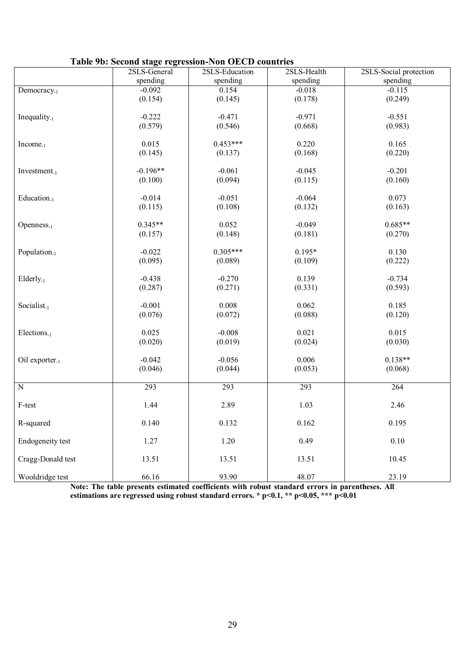|  |  |  | Table 9b: Second stage regression-Non OECD countries |  |  |
|--|--|--|------------------------------------------------------|--|--|
|--|--|--|------------------------------------------------------|--|--|

|                            | Table 70. Second stage regression-ron OECD countries |                | 2SLS-Health |                        |
|----------------------------|------------------------------------------------------|----------------|-------------|------------------------|
|                            | 2SLS-General                                         | 2SLS-Education |             | 2SLS-Social protection |
|                            | spending                                             | spending       | spending    | spending               |
| Democracy <sub>-1</sub>    | $-0.092$                                             | 0.154          | $-0.018$    | $-0.115$               |
|                            | (0.154)                                              | (0.145)        | (0.178)     | (0.249)                |
|                            |                                                      |                |             |                        |
|                            |                                                      |                |             |                        |
| Inequality $_{-1}$         | $-0.222$                                             | $-0.471$       | $-0.971$    | $-0.551$               |
|                            | (0.579)                                              | (0.546)        | (0.668)     | (0.983)                |
|                            |                                                      |                |             |                        |
| $Income_{-1}$              | 0.015                                                | $0.453***$     | 0.220       | 0.165                  |
|                            | (0.145)                                              | (0.137)        | (0.168)     | (0.220)                |
|                            |                                                      |                |             |                        |
|                            |                                                      |                |             |                        |
| $Investment_{-1}$          | $-0.196**$                                           | $-0.061$       | $-0.045$    | $-0.201$               |
|                            | (0.100)                                              | (0.094)        | (0.115)     | (0.160)                |
|                            |                                                      |                |             |                        |
| Education <sub>-1</sub>    | $-0.014$                                             | $-0.051$       | $-0.064$    | 0.073                  |
|                            |                                                      |                |             |                        |
|                            | (0.115)                                              | (0.108)        | (0.132)     | (0.163)                |
|                            |                                                      |                |             |                        |
| Openness <sub>-1</sub>     | $0.345**$                                            | 0.052          | $-0.049$    | $0.685**$              |
|                            | (0.157)                                              | (0.148)        | (0.181)     | (0.270)                |
|                            |                                                      |                |             |                        |
|                            |                                                      | $0.305***$     | $0.195*$    |                        |
| Population <sub>-1</sub>   | $-0.022$                                             |                |             | 0.130                  |
|                            | (0.095)                                              | (0.089)        | (0.109)     | (0.222)                |
|                            |                                                      |                |             |                        |
| $Elderly_{-1}$             | $-0.438$                                             | $-0.270$       | 0.139       | $-0.734$               |
|                            | (0.287)                                              | (0.271)        | (0.331)     | (0.593)                |
|                            |                                                      |                |             |                        |
|                            |                                                      |                |             |                        |
| Socialist <sub>-1</sub>    | $-0.001$                                             | 0.008          | 0.062       | 0.185                  |
|                            | (0.076)                                              | (0.072)        | (0.088)     | (0.120)                |
|                            |                                                      |                |             |                        |
| $Elections-1$              | 0.025                                                | $-0.008$       | 0.021       | 0.015                  |
|                            | (0.020)                                              | (0.019)        | (0.024)     | (0.030)                |
|                            |                                                      |                |             |                        |
|                            |                                                      |                |             |                        |
| Oil exporter <sub>-1</sub> | $-0.042$                                             | $-0.056$       | 0.006       | $0.138**$              |
|                            | (0.046)                                              | (0.044)        | (0.053)     | (0.068)                |
|                            |                                                      |                |             |                        |
| $\overline{N}$             | 293                                                  | 293            | 293         | 264                    |
|                            |                                                      |                |             |                        |
|                            |                                                      |                |             |                        |
| F-test                     | 1.44                                                 | 2.89           | 1.03        | 2.46                   |
|                            |                                                      |                |             |                        |
| R-squared                  | 0.140                                                | 0.132          | 0.162       | 0.195                  |
|                            |                                                      |                |             |                        |
| Endogeneity test           | 1.27                                                 | 1.20           | 0.49        | $0.10\,$               |
|                            |                                                      |                |             |                        |
|                            |                                                      |                |             |                        |
| Cragg-Donald test          | 13.51                                                | 13.51          | 13.51       | 10.45                  |
|                            |                                                      |                |             |                        |
| Wooldridge test            | 66.16                                                | 93.90          | 48.07       | 23.19                  |
|                            |                                                      |                |             |                        |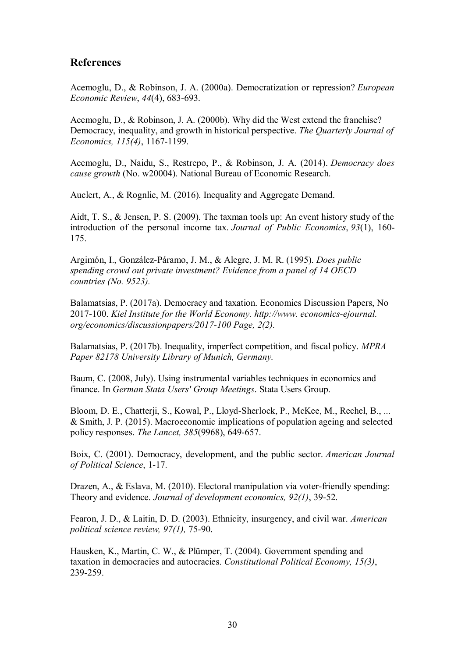## **References**

Acemoglu, D., & Robinson, J. A. (2000a). Democratization or repression? *European Economic Review*, *44*(4), 683-693.

Acemoglu, D., & Robinson, J. A. (2000b). Why did the West extend the franchise? Democracy, inequality, and growth in historical perspective. *The Quarterly Journal of Economics, 115(4)*, 1167-1199.

Acemoglu, D., Naidu, S., Restrepo, P., & Robinson, J. A. (2014). *Democracy does cause growth* (No. w20004). National Bureau of Economic Research.

Auclert, A., & Rognlie, M. (2016). Inequality and Aggregate Demand.

Aidt, T. S., & Jensen, P. S. (2009). The taxman tools up: An event history study of the introduction of the personal income tax. *Journal of Public Economics*, *93*(1), 160- 175.

Argimón, I., González-Páramo, J. M., & Alegre, J. M. R. (1995). *Does public spending crowd out private investment? Evidence from a panel of 14 OECD countries (No. 9523).* 

Balamatsias, P. (2017a). Democracy and taxation. Economics Discussion Papers, No 2017-100. *Kiel Institute for the World Economy. http://www. economics-ejournal. org/economics/discussionpapers/2017-100 Page, 2(2).*

Balamatsias, P. (2017b). Inequality, imperfect competition, and fiscal policy. *MPRA Paper 82178 University Library of Munich, Germany.* 

Baum, C. (2008, July). Using instrumental variables techniques in economics and finance. In *German Stata Users' Group Meetings*. Stata Users Group.

Bloom, D. E., Chatterji, S., Kowal, P., Lloyd-Sherlock, P., McKee, M., Rechel, B., ... & Smith, J. P. (2015). Macroeconomic implications of population ageing and selected policy responses. *The Lancet, 385*(9968), 649-657.

Boix, C. (2001). Democracy, development, and the public sector. *American Journal of Political Science*, 1-17.

Drazen, A., & Eslava, M. (2010). Electoral manipulation via voter-friendly spending: Theory and evidence. *Journal of development economics, 92(1)*, 39-52.

Fearon, J. D., & Laitin, D. D. (2003). Ethnicity, insurgency, and civil war. *American political science review, 97(1),* 75-90.

Hausken, K., Martin, C. W., & Plümper, T. (2004). Government spending and taxation in democracies and autocracies. *Constitutional Political Economy, 15(3)*, 239-259.